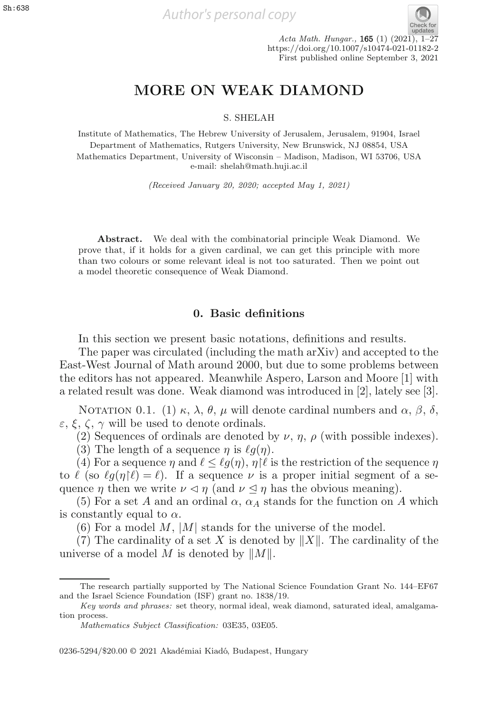

S. SHELAH

Institute of Mathematics, The Hebrew University of Jerusalem, Jerusalem, 91904, Israel Department of Mathematics, Rutgers University, New Brunswick, NJ 08854, USA Mathematics Department, University of Wisconsin – Madison, Madison, WI 53706, USA e-mail: shelah@math.huji.ac.il

(Received January 20, 2020; accepted May 1, 2021)

**Abstract.** We deal with the combinatorial principle Weak Diamond. We prove that, if it holds for a given cardinal, we can get this principle with more than two colours or some relevant ideal is not too saturated. Then we point out a model theoretic consequence of Weak Diamond.

#### **0. Basic definitions**

In this section we present basic notations, definitions and results.

The paper was circulated (including the math arXiv) and accepted to the East-West Journal of Math around 2000, but due to some problems between the editors has not appeared. Meanwhile Aspero, Larson and Moore [1] with a related result was done. Weak diamond was introduced in [2], lately see [3].

NOTATION 0.1. (1) κ, λ, θ, μ will denote cardinal numbers and  $\alpha$ ,  $\beta$ , δ,  $\varepsilon$ ,  $\xi$ ,  $\zeta$ ,  $\gamma$  will be used to denote ordinals.

(2) Sequences of ordinals are denoted by  $\nu$ ,  $\eta$ ,  $\rho$  (with possible indexes).

(3) The length of a sequence  $\eta$  is  $\ell q(\eta)$ .

(4) For a sequence  $\eta$  and  $\ell \leq \ell g(\eta), \eta \nmid \ell$  is the restriction of the sequence  $\eta$ <br> $\ell$  (so  $\ell g(n|\ell) = \ell$ ) If a sequence  $\nu$  is a proper initial segment of a seto  $\ell$  (so  $\ell g(\eta|\ell) = \ell$ ). If a sequence  $\nu$  is a proper initial segment of a sequence *n* then we write  $\nu \leq n$  (and  $\nu \leq n$  has the obvious meaning) quence  $\eta$  then we write  $\nu \leq \eta$  (and  $\nu \leq \eta$  has the obvious meaning).

(5) For a set A and an ordinal  $\alpha$ ,  $\alpha_A$  stands for the function on A which is constantly equal to  $\alpha$ .

 $(6)$  For a model M, |M| stands for the universe of the model.

(7) The cardinality of a set X is denoted by  $||X||$ . The cardinality of the universe of a model M is denoted by  $||M||$ .

0236-5294/\$20.00 © 2021 Akadémiai Kiadó, Budapest, Hungary

The research partially supported by The National Science Foundation Grant No. 144–EF67 and the Israel Science Foundation (ISF) grant no. 1838/19.

Key words and phrases: set theory, normal ideal, weak diamond, saturated ideal, amalgamation process.

Mathematics Subject Classification: 03E35, 03E05.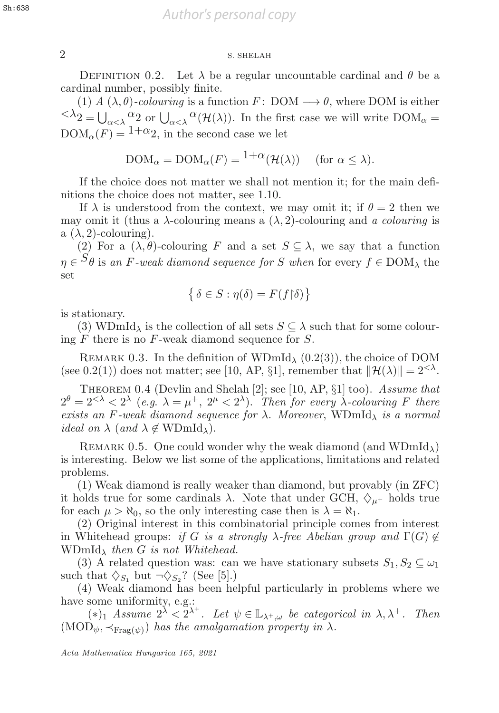## 2 S. SHELAH 2 S. SHELAH

DEFINITION 0.2. Let  $\lambda$  be a regular uncountable cardinal and  $\theta$  be a cardinal number, possibly finite.

(1) A  $(\lambda, \theta)$ -colouring is a function F: DOM  $\rightarrow \theta$ , where DOM is either  $^{<\lambda_2} = \bigcup_{\alpha < \lambda} \alpha_2^{\alpha_2}$  or  $\bigcup_{\alpha < \lambda} \alpha^{\alpha}(\mathcal{H}(\lambda))$ . In the first case we will write  $DOM_{\alpha} =$  $DOM_{\alpha}(F) = 1+\alpha_2$ , in the second case we let

$$
DOM_{\alpha} = DOM_{\alpha}(F) = \frac{1+\alpha}{\mathcal{H}(\mathcal{H}(\lambda))}
$$
 (for  $\alpha \leq \lambda$ ).

If the choice does not matter we shall not mention it; for the main definitions the choice does not matter, see 1.10.

If  $\lambda$  is understood from the context, we may omit it; if  $\theta = 2$  then we may omit it (thus a  $\lambda$ -colouring means a  $(\lambda, 2)$ -colouring and a colouring is

a  $(\lambda, 2)$ -colouring).<br>(2) For a  $(\lambda, \theta)$ -colouring F and a set  $S \subseteq \lambda$ , we say that a function (2) For a  $(\lambda, \theta)$ -colouring F and a set  $S \subseteq \lambda$ , we say that a function  $S_{\theta}$  is an E weak diamend assumes for S when for survey f  $\epsilon$  DOM, the  $\eta \in {}^{\mathcal{S}}\theta$  is an F-weak diamond sequence for S when for every  $f \in \text{DOM}_\lambda$  the set set

$$
\left\{\delta \in S : \eta(\delta) = F(f \upharpoonright \delta)\right\}
$$

is stationary.

(3) WDmId<sub> $\lambda$ </sub> is the collection of all sets  $S \subseteq \lambda$  such that for some colouring  $F$  there is no  $F$ -weak diamond sequence for  $S$ .

REMARK 0.3. In the definition of WDmId<sub> $\lambda$ </sub> (0.2(3)), the choice of DOM (see 0.2(1)) does not matter; see [10, AP, §1], remember that  $\|\mathcal{H}(\lambda)\| = 2^{< \lambda}$ .

Theorem 0.4 (Devlin and Shelah [2]; see [10, AP, §1] too). Assume that  $2^{\theta} = 2^{<\lambda} < 2^{\lambda}$  (e.g.  $\lambda = \mu^{+}$ ,  $2^{\mu} < 2^{\lambda}$ ). Then for every  $\lambda$ -colouring F there exists an F-weak diamond sequence for  $\lambda$ . Moreover, WDmId<sub> $\lambda$ </sub> is a normal *ideal on*  $\lambda$  (*and*  $\lambda \notin \text{WDmId}_{\lambda}$ ).

REMARK 0.5. One could wonder why the weak diamond (and  $WDmId_{\lambda}$ ) is interesting. Below we list some of the applications, limitations and related problems.

(1) Weak diamond is really weaker than diamond, but provably (in ZFC) it holds true for some cardinals  $\lambda$ . Note that under GCH,  $\Diamond_{\mu^+}$  holds true for each  $\mu > \aleph_0$ , so the only interesting case then is  $\lambda = \aleph_1$ .

(2) Original interest in this combinatorial principle comes from interest in Whitehead groups: if G is a strongly  $\lambda$ -free Abelian group and  $\Gamma(G) \notin$ WDmId<sub> $\lambda$ </sub> then G is not Whitehead.

(3) A related question was: can we have stationary subsets  $S_1, S_2 \subseteq \omega_1$ such that  $\diamondsuit_{S_1}$  but  $\neg \diamondsuit_{S_2}$ ? (See [5].)

(4) Weak diamond has been helpful particularly in problems where we have some uniformity, e.g.:

(\*)<sup>1</sup> Assume  $2^{\lambda} < 2^{\lambda^+}$ . Let  $\psi \in \mathbb{L}_{\lambda^+,\omega}$  be categorical in  $\lambda, \lambda^+$ . Then  $(MOD_{\psi}, \prec_{\text{Fra}( \psi)})$  has the amalgamation property in  $\lambda$ .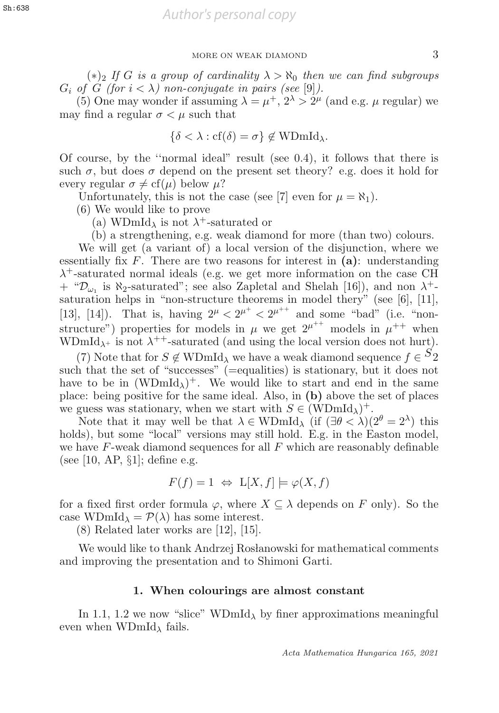$(*)_2$  If G is a group of cardinality  $\lambda > \aleph_0$  then we can find subgroups  $G_i$  of  $G$  (for  $i < \lambda$ ) non-conjugate in pairs (see [9]).

(5) One may wonder if assuming  $\lambda = \mu^+, 2^{\lambda} > 2^{\mu}$  (and e.g.  $\mu$  regular) we may find a regular  $\sigma < \mu$  such that

$$
\{\delta < \lambda : \text{cf}(\delta) = \sigma\} \notin \text{WDmId}_{\lambda}.
$$

Of course, by the ''normal ideal" result (see 0.4), it follows that there is such  $\sigma$ , but does  $\sigma$  depend on the present set theory? e.g. does it hold for every regular  $\sigma \neq cf(\mu)$  below  $\mu$ ?

Unfortunately, this is not the case (see [7] even for  $\mu = \aleph_1$ ).

(6) We would like to prove

(a) WDmId<sub> $\lambda$ </sub> is not  $\lambda^+$ -saturated or

(b) a strengthening, e.g. weak diamond for more (than two) colours.

We will get (a variant of) a local version of the disjunction, where we essentially fix  $F$ . There are two reasons for interest in  $(a)$ : understanding  $\lambda^+$ -saturated normal ideals (e.g. we get more information on the case CH  $+$  " $\mathcal{D}_{\omega_1}$  is  $\aleph_2$ -saturated"; see also Zapletal and Shelah [16]), and non  $\lambda^+$ saturation helps in "non-structure theorems in model thery" (see [6], [11], [13], [14]). That is, having  $2^{\mu} < 2^{\mu^+} < 2^{\mu^{++}}$  and some "bad" (i.e. "non-<br>structure") properties for models in  $\mu$  we get  $2^{\mu^{++}}$  models in  $\mu^{++}$  when structure") properties for models in  $\mu$  we get  $2^{\mu^{++}}$  models in  $\mu^{++}$  when WDmId<sub> $\lambda$ +</sub> is not  $\lambda$ <sup>++</sup>-saturated (and using the local version does not hurt).

(7) Note that for  $S \notin \text{WDmId}_{\lambda}$  we have a weak diamond sequence  $f \in {}^{S_2}$ such that the set of "successes" (=equalities) is stationary, but it does not have to be in  $(WDmId_{\lambda})^+$ . We would like to start and end in the same place: being positive for the same ideal. Also, in **(b)** above the set of places we guess was stationary, when we start with  $S \in (WDmId_\lambda)^+$ .

Note that it may well be that  $\lambda \in \text{WDmId}_{\lambda}$  (if  $(\exists \theta < \lambda)(2^{\theta} = 2^{\lambda})$  this holds), but some "local" versions may still hold. E.g. in the Easton model, we have  $F$ -weak diamond sequences for all  $F$  which are reasonably definable (see [10, AP,  $\S1$ ]; define e.g.

$$
F(f) = 1 \Leftrightarrow \mathcal{L}[X, f] \models \varphi(X, f)
$$

for a fixed first order formula  $\varphi$ , where  $X \subseteq \lambda$  depends on F only). So the case WDmId<sub> $\lambda$ </sub> =  $\mathcal{P}(\lambda)$  has some interest.

(8) Related later works are [12], [15].

We would like to thank Andrzej Roslanowski for mathematical comments and improving the presentation and to Shimoni Garti.

#### **1. When colourings are almost constant**

In 1.1, 1.2 we now "slice" WDmId<sub> $\lambda$ </sub> by finer approximations meaningful even when  $WDmId_{\lambda}$  fails.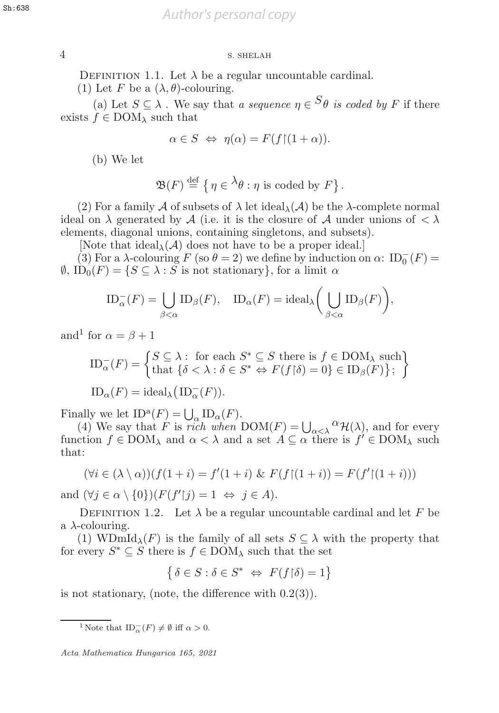## 4 S. SHELAH 4 S. SHELAH

DEFINITION 1.1. Let  $\lambda$  be a regular uncountable cardinal.

(1) Let F be a  $(\lambda, \theta)$ -colouring.

(a) Let  $S \subseteq \lambda$ . We say that a sequence  $\eta \in S_{\theta}$  is coded by F if there exists  $f \in$  DOM<sub> $\lambda$ </sub> such that

$$
\alpha \in S \iff \eta(\alpha) = F(f \restriction (1 + \alpha)).
$$

(b) We let

$$
\mathfrak{B}(F) \stackrel{\text{def}}{=} \left\{ \eta \in {}^{\lambda}\theta : \eta \text{ is coded by } F \right\}.
$$

(2) For a family A of subsets of  $\lambda$  let ideal $\lambda(\mathcal{A})$  be the  $\lambda$ -complete normal ideal on  $\lambda$  generated by A (i.e. it is the closure of A under unions of  $\lambda$ ) elements, diagonal unions, containing singletons, and subsets).

[Note that ideal<sub> $\lambda$ </sub>( $\mathcal{A}$ ) does not have to be a proper ideal.]

(3) For a  $\lambda$ -colouring  $F$  (so  $\theta = 2$ ) we define by induction on  $\alpha$ :  $ID_0^-(F) =$ <br> $D_0(F) = \{S \subset \lambda : S$  is not stationary for a limit  $\alpha$  $\emptyset$ ,  $ID_0(F) = \{ S \subseteq \lambda : S \text{ is not stationary} \},$  for a limit  $\alpha$ 

$$
ID_{\alpha}^{-}(F) = \bigcup_{\beta < \alpha} ID_{\beta}(F), \quad ID_{\alpha}(F) = ideal_{\lambda} \bigg(\bigcup_{\beta < \alpha} ID_{\beta}(F)\bigg),
$$

and<sup>1</sup> for  $\alpha = \beta + 1$ 

$$
ID_{\alpha}^{-}(F) = \begin{cases} S \subseteq \lambda : \text{ for each } S^* \subseteq S \text{ there is } f \in \text{DOM}_{\lambda} \text{ such} \\ \text{that } \{\delta < \lambda : \delta \in S^* \Leftrightarrow F(f \upharpoonright \delta) = 0\} \in ID_{\beta}(F) \}; \end{cases}
$$

$$
ID_{\alpha}(F) = \text{ideal}_{\lambda} (ID_{\alpha}^{-}(F)).
$$

Finally we let  $ID^a(F) = \bigcup$ <br>(4) We say that F is ra  $\frac{\alpha}{\alpha} \text{ID}_{\alpha}(F).$ <br>ich when

(4) We say that F is rich when  $DOM(F) = \bigcup_{\alpha < \lambda} {}^{\alpha} \mathcal{H}(\lambda)$ , and for every ction  $f \in DOM_1$  and  $\alpha < \lambda$  and a set  $A \subset \alpha$  there is  $f' \in DOM_1$  such function  $f \in \text{DOM}_\lambda$  and  $\alpha < \lambda$  and a set  $A \subseteq \alpha$  there is  $f' \in \text{DOM}_\lambda$  such that that:

$$
(\forall i \in (\lambda \setminus \alpha))(f(1+i) = f'(1+i) \& F(f \restriction (1+i)) = F(f' \restriction (1+i)))
$$

and  $(\forall j \in \alpha \setminus \{0\}) (F(f'|j) = 1 \Leftrightarrow j \in A).$ 

DEFINITION 1.2. Let  $\lambda$  be a regular uncountable cardinal and let F be a  $\lambda$ -colouring.

(1) WDmId<sub> $\lambda$ </sub>(F) is the family of all sets  $S \subseteq \lambda$  with the property that for every  $S^* \subseteq S$  there is  $f \in \text{DOM}_\lambda$  such that the set

$$
\left\{\delta \in S : \delta \in S^* \iff F(f \upharpoonright \delta) = 1\right\}
$$

is not stationary, (note, the difference with  $0.2(3)$ ).

<sup>1</sup> Note that  $ID_{\alpha}^{-}(F) \neq \emptyset$  iff  $\alpha > 0$ .

Acta Mathematica Hungarica 165, 2021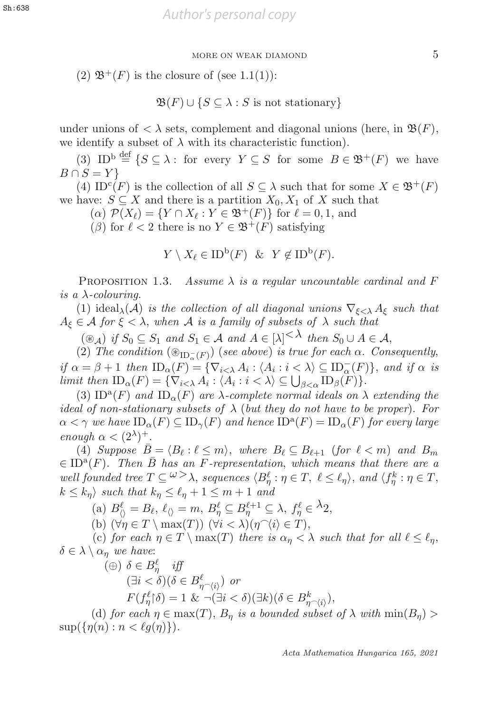(2)  $\mathfrak{B}^+(F)$  is the closure of (see 1.1(1)):

$$
\mathfrak{B}(F) \cup \{ S \subseteq \lambda : S \text{ is not stationary} \}
$$

under unions of  $\langle \lambda \rangle$  sets, complement and diagonal unions (here, in  $\mathfrak{B}(F)$ , we identify a subset of  $\lambda$  with its characteristic function).

(3) ID<sup>b def</sup>  $\{S \subseteq \lambda : \text{ for every } Y \subseteq S \text{ for some } B \in \mathfrak{B}^+(F) \text{ we have }$ <br> $0. S = Y$  $B \cap S = Y$ 

(4) ID<sup>c</sup>(F) is the collection of all  $S \subseteq \lambda$  such that for some  $X \in \mathfrak{B}^+(F)$ we have:  $S \subseteq X$  and there is a partition  $X_0, X_1$  of X such that

 $(\alpha)$   $\mathcal{P}(X_{\ell}) = \{ Y \cap X_{\ell} : Y \in \mathfrak{B}^{+}(F) \}$  for  $\ell = 0, 1$ , and

(β) for  $\ell < 2$  there is no  $Y \in \mathfrak{B}^+(F)$  satisfying

$$
Y \setminus X_{\ell} \in \mathrm{ID}^{\mathrm{b}}(F) \ \& \ Y \notin \mathrm{ID}^{\mathrm{b}}(F).
$$

PROPOSITION 1.3. Assume  $\lambda$  is a regular uncountable cardinal and F is a  $\lambda$ -colouring.

(1) ideal<sub>λ</sub>(A) is the collection of all diagonal unions  $\nabla_{\xi < \lambda} A_{\xi}$  such that  $A_{\xi} \in \mathcal{A}$  for  $\xi < \lambda$ , when A is a family of subsets of  $\lambda$  such that

 $(\circledast_{\mathcal{A}})$  if  $S_0 \subseteq S_1$  and  $S_1 \in \mathcal{A}$  and  $A \in [\lambda]^{\lt \wedge}$  then  $S_0 \cup A \in \mathcal{A}$ ,<br>
(a) The condition  $(\circledast_{\text{TR}})$  (see above) is true for each  $\alpha$ . Con

(2) The condition  $(\mathcal{B}_{ID_{\alpha}^{-}(F)})$  (see above) is true for each  $\alpha$ . Consequently,<br> $\alpha = \beta + 1$ , then  $ID_{\alpha}(F) = \overline{[\nabla_{\alpha} A_{\alpha}, \alpha]} \in \mathcal{N} \subset ID^{-}(F)$ , and if  $\alpha$  is if  $\alpha = \beta + 1$  then  $ID_{\alpha}(F) = {\nabla_{i < \lambda} A_i : \langle A_i : i < \lambda \rangle \subseteq ID_{\alpha}^-(F)}$ , and if  $\alpha$  is<br>limit then ID  $(F) = {\nabla_{i < \lambda} A_i : \langle A_i : i < \lambda \rangle \subseteq \Box}$   $ID_{\alpha}(F)$ limit then  $ID_{\alpha}(F) = \{ \nabla_{i \leq \lambda} A_i : \langle A_i : i \leq \lambda \rangle \subseteq \bigcup_{\beta \leq \alpha} ID_{\beta}(F) \}.$ <br>(3)  $ID^{\alpha}(F)$  and  $ID_{\alpha}(F)$  are  $\lambda$  complete normal ideals on  $\lambda$ 

(3) ID<sup>a</sup>(F) and ID<sub> $\alpha$ </sub>(F) are  $\lambda$ -complete normal ideals on  $\lambda$  extending the ideal of non-stationary subsets of  $\lambda$  (but they do not have to be proper). For  $\alpha < \gamma$  we have  $ID_{\alpha}(F) \subseteq ID_{\gamma}(F)$  and hence  $ID^{\alpha}(F) = ID_{\alpha}(F)$  for every large enough  $\alpha < (2^{\lambda})^+$ .

(4) Suppose  $\bar{B} = \langle B_\ell : \ell \leq m \rangle$ , where  $B_\ell \subseteq B_{\ell+1}$  (for  $\ell < m$ ) and  $B_m$  $\in$  ID<sup>a</sup>(F). Then  $\bar{B}$  has an F-representation, which means that there are a well founded tree  $T \subseteq \{b \geq \lambda\}$ , sequences  $\langle B^\ell_n : \eta \in T, \ell \leq \ell_\eta \rangle$ , and  $\langle f^\kappa_\eta : \eta \in T, \ell \leq k \rangle$ , such that  $k \leq \ell + 1 \leq m + 1$  and  $k \leq k_n$  such that  $k_n \leq \ell_n + 1 \leq m + 1$  and

(a)  $B_{\langle\rangle}^{\ell} = B_{\ell}, \ \ell_{\langle\rangle} = m, \ B_{\eta}^{\ell} \subseteq B_{\eta}^{\ell+1} \subseteq \lambda, \ f_{\eta}^{\ell} \in {}^{\lambda}2,$ <br>(b)  $\langle \forall x \in T \rangle \max(T) \rangle \langle \forall i \leq \lambda \rangle (x \cap \langle i \rangle \in T)$ 

(b)  $(\forall \eta \in T \setminus \max(T))$   $(\forall i < \lambda)(\eta \hat{\ } (i \in T),$ 

(c) for each  $\eta \in T \setminus \max(T)$  there is  $\alpha_{\eta} < \lambda$  such that for all  $\ell \leq \ell_{\eta}$ ,  $\delta \in \lambda \setminus \alpha_{\eta}$  we have:

$$
\begin{aligned} (\oplus) \ \ \delta \in B_{\eta}^{\ell} \quad \text{iff} \\ (\exists i < \delta)(\delta \in B_{\eta \cap \langle i \rangle}^{\ell}) \ \ or \\ F(f_{\eta}^{\ell}|\delta) &= 1 \ \ \& \ \neg(\exists i < \delta)(\exists k)(\delta \in B_{\eta \cap \langle i \rangle}^{k}), \\ \text{for each } n \in \text{max}(T), \ B \ \ \text{is a bounded subset} \end{aligned}
$$

(d) for each  $\eta \in \max(T)$ ,  $B_{\eta}$  is a bounded subset of  $\lambda$  with  $\min(B_{\eta}) >$  $\sup(\{\eta(n): n < \ell q(\eta)\})$ .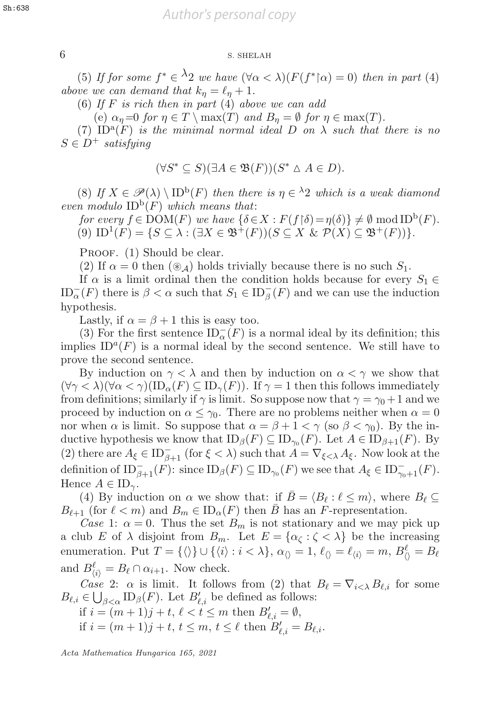## 6 S. SHELAH 6 S. SHELAH

(5) If for some  $f^* \in \Lambda^2$  we have  $(\forall \alpha < \lambda)(F(f^* | \alpha) = 0)$  then in part (4) we we can demand that  $k_* = \ell_* + 1$ above we can demand that  $k_n = \ell_n + 1$ .

(6) If F is rich then in part  $(4)$  above we can add

(e)  $\alpha_{\eta} = 0$  for  $\eta \in T \setminus \max(T)$  and  $B_{\eta} = \emptyset$  for  $\eta \in \max(T)$ .

(7) ID<sup>a</sup>(F) is the minimal normal ideal D on  $\lambda$  such that there is no  $S \in D^+$  satisfying

$$
(\forall S^* \subseteq S)(\exists A \in \mathfrak{B}(F))(S^* \triangle A \in D).
$$

(8) If  $X \in \mathscr{P}(\lambda) \setminus \text{ID}^{\text{b}}(F)$  then there is  $\eta \in {}^{\lambda}2$  which is a weak diamond even modulo  $ID^b(F)$  which means that:

for every  $f \in \text{DOM}(F)$  we have  $\{\delta \in X : F(f \mid \delta) = \eta(\delta)\} \neq \emptyset \text{ mod ID}^{\text{b}}(F)$ .<br>(9)  $\text{ID}^{\text{1}}(F) = \{S \subset \lambda : (\exists X \in \mathfrak{B}^+(F)) (S \subset X \text{ for } \mathcal{P}(X) \subset \mathfrak{B}^+(F))\}$ (9)  $ID^1(F) = \{ S \subseteq \lambda : (\exists X \in \mathfrak{B}^+(F))(S \subseteq X \& \mathcal{P}(X) \subseteq \mathfrak{B}^+(F)) \}.$ 

PROOF. (1) Should be clear.

(2) If  $\alpha = 0$  then  $(\mathcal{A})$  holds trivially because there is no such  $S_1$ .

If  $\alpha$  is a limit ordinal then the condition holds because for every  $S_1 \in$  $ID_{\alpha}^{-}(F)$  there is  $\beta < \alpha$  such that  $S_1 \in ID_{\beta}^{-}(F)$  and we can use the induction hypothesis hypothesis.

Lastly, if  $\alpha = \beta + 1$  this is easy too.

(3) For the first sentence  $ID_{\alpha}^{-}(F)$  is a normal ideal by its definition; this lies  $ID^{a}(F)$  is a normal ideal by the second sentence. We still have to implies  $ID^{a}(F)$  is a normal ideal by the second sentence. We still have to prove the second sentence.

By induction on  $\gamma < \lambda$  and then by induction on  $\alpha < \gamma$  we show that  $(\forall \gamma < \lambda)(\forall \alpha < \gamma)(ID_{\alpha}(F) \subseteq ID_{\gamma}(F)).$  If  $\gamma = 1$  then this follows immediately from definitions; similarly if  $\gamma$  is limit. So suppose now that  $\gamma = \gamma_0 + 1$  and we proceed by induction on  $\alpha \leq \gamma_0$ . There are no problems neither when  $\alpha = 0$ nor when  $\alpha$  is limit. So suppose that  $\alpha = \beta + 1 < \gamma$  (so  $\beta < \gamma_0$ ). By the inductive hypothesis we know that  $ID_\beta(F) \subseteq ID_{\gamma_0}(F)$ . Let  $A \in ID_{\beta+1}(F)$ . By (2) there are  $A_{\xi} \in ID_{\beta+1}^{-}$  (for  $\xi < \lambda$ ) such that  $A = \nabla_{\xi < \lambda} A_{\xi}$ . Now look at the definition of  $ID_{\beta+1}^-(F)$ : since  $ID_{\beta}(F) \subseteq ID_{\gamma_0}(F)$  we see that  $A_{\xi} \in ID_{\gamma_0+1}^-(F)$ .<br>Hence  $A \in ID$ Hence  $A \in ID_{\gamma}$ .

(4) By induction on  $\alpha$  we show that: if  $B = \langle B_\ell : \ell \leq m \rangle$ , where  $B_\ell \subseteq$  $B_{\ell+1}$  (for  $\ell < m$ ) and  $B_m \in ID_\alpha(F)$  then  $\bar{B}$  has an F-representation.

Case 1:  $\alpha = 0$ . Thus the set  $B_m$  is not stationary and we may pick up a club E of  $\lambda$  disjoint from  $B_m$ . Let  $E = {\alpha \zeta : \zeta < \lambda}$  be the increasing enumeration. Put  $T = {\langle} \langle \rangle$   $\cup$   ${\langle} \langle i \rangle : i < \lambda$ ,  $\alpha_{\langle} = 1, \ell_{\langle} = \ell_{\langle} = m, B_{\langle}^{\ell} = B_{\ell} \rangle$ and  $B_{\langle i \rangle}^{\ell} = B_{\ell} \cap \alpha_{i+1}$ . Now check.<br>Case 2:  $\alpha$  is limit. It follows

Case 2:  $\alpha$  is limit. It follows from (2) that  $B_{\ell} = \nabla_{i \leq \lambda} B_{\ell, i}$  for some  $B_{\ell,i} \in \bigcup_{\beta < \alpha} \text{ID}_{\beta}(F)$ . Let  $B'_{\ell,i}$  be defined as follows:<br>if  $i - (m+1)i + 1 \le \ell \le m$  then  $B' = \emptyset$ 

if  $i = (m+1)j + t, \ell < t \leq m$  then  $B'_{\ell,i} = \emptyset$ ,<br>if  $i = (m+1)j + t, \ell \leq m, t < \ell$  then  $B'_{\ell,i}$ if  $i = (m + 1)j + t, t \leq m, t \leq \ell$  then  $B'_{\ell,i} = B_{\ell,i}$ .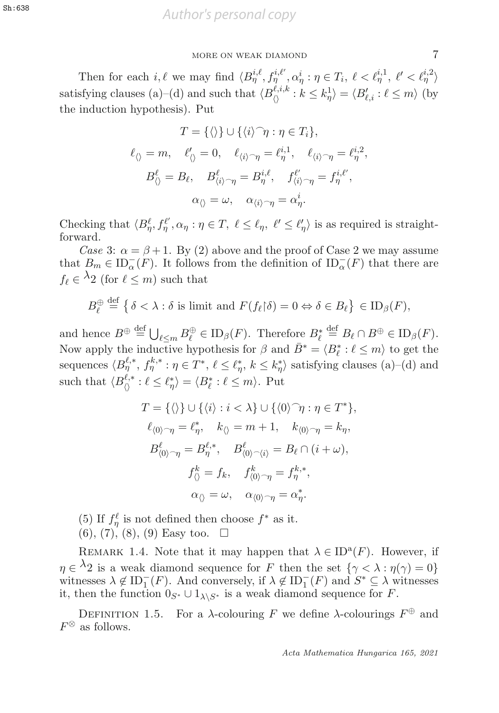Then for each i,  $\ell$  we may find  $\langle B_{\eta}^{i,\ell}, f_{\eta}^{i,\ell'}, \alpha_{\eta}^i : \eta \in T_i, \ell < \ell_{\eta}^{i,1}, \ell' < \ell_{\eta}^{i,2} \rangle$ satisfying clauses (a)–(d) and such that  $\langle B_{\langle\rangle}^{k,i,k} : k \leq k_{\eta}^{1} \rangle = \langle B_{\ell,i}^{\prime} : \ell \leq m \rangle$  (by the induction hypothosis). Put the induction hypothesis). Put

$$
T = \{\langle\rangle\} \cup \{\langle i\rangle^\frown \eta : \eta \in T_i\},
$$
  

$$
\ell_{\langle\rangle} = m, \quad \ell'_{\langle\rangle} = 0, \quad \ell_{\langle i\rangle^\frown \eta} = \ell^{i,1}_{\eta}, \quad \ell_{\langle i\rangle^\frown \eta} = \ell^{i,2}_{\eta},
$$
  

$$
B^\ell_{\langle\rangle} = B_\ell, \quad B^\ell_{\langle i\rangle^\frown \eta} = B^{i,\ell}_{\eta}, \quad f^{\ell'}_{\langle i\rangle^\frown \eta} = f^{i,\ell'}_{\eta},
$$
  

$$
\alpha_{\langle\rangle} = \omega, \quad \alpha_{\langle i\rangle^\frown \eta} = \alpha^i_{\eta}.
$$

Checking that  $\langle B_{\eta}^{\ell}, f_{\eta}^{\ell'}, \alpha_{\eta} : \eta \in T, \ell \leq \ell_{\eta}, \ell' \leq \ell'_{\eta} \rangle$  is as required is straight-forward. forward.

Case 3:  $\alpha = \beta + 1$ . By (2) above and the proof of Case 2 we may assume that  $B_m \in \mathrm{ID}_{\alpha}^-(F)$ . It follows from the definition of  $\mathrm{ID}_{\alpha}^-(F)$  that there are  $f_\ell \in \Lambda_2$  (for  $\ell \leq m$ ) such that

$$
B_{\ell}^{\oplus} \stackrel{\text{def}}{=} \left\{ \delta < \lambda : \delta \text{ is limit and } F(f_{\ell} | \delta) = 0 \Leftrightarrow \delta \in B_{\ell} \right\} \in \text{ID}_{\beta}(F),
$$

and hence  $B^{\oplus} \stackrel{\text{def}}{=} \bigcup_{\ell \leq m} B_{\ell}^{\oplus} \in ID_{\beta}(F)$ . Therefore  $B_{\ell}^{*} \stackrel{\text{def}}{=} B_{\ell} \cap B^{\oplus} \in ID_{\beta}(F)$ .<br>Now apply the inductive hypothesis for  $\beta$  and  $\overline{B^{*} - \ell B^{*} \cdot \ell \leq m}$  to get the Now apply the inductive hypothesis for  $\beta$  and  $\overline{B}^* = \langle B^*_{\ell} \rangle$  $\ell^* : \ell \leq m$  to get the sequences  $\langle B_{\eta}^{\ell,*}, f_{\eta}^{k,*}: \eta \in T^*, \ell \leq \ell_{\eta}^*, k \leq k_{\eta}^* \rangle$  satisfying clauses (a)–(d) and such that  $\langle B_{\langle\rangle}^{\ell,*}: \ell \leq \ell_{\eta}^* \rangle = \langle B_{\ell}^*: \ell \leq m \rangle$ . Put

$$
T = \{\langle\rangle\} \cup \{\langle i\rangle : i < \lambda\} \cup \{\langle 0\rangle^\frown \eta : \eta \in T^*\},
$$
  
\n
$$
\ell_{\langle 0\rangle^\frown \eta} = \ell_\eta^*, \quad k_{\langle\rangle} = m + 1, \quad k_{\langle 0\rangle^\frown \eta} = k_\eta,
$$
  
\n
$$
B_{\langle 0\rangle^\frown \eta}^\ell = B_\eta^{\ell,*}, \quad B_{\langle 0\rangle^\frown \langle i\rangle}^\ell = B_\ell \cap (i + \omega),
$$
  
\n
$$
f_{\langle\rangle}^k = f_k, \quad f_{\langle 0\rangle^\frown \eta}^k = f_{\eta}^{k,*},
$$
  
\n
$$
\alpha_{\langle\rangle} = \omega, \quad \alpha_{\langle 0\rangle^\frown \eta} = \alpha_\eta^*.
$$

(5) If  $f_{\eta}^{\ell}$  is not defined then choose  $f^*$  as it.<br>(6) (7) (8) (9) Easy too

 $(6), (7), (8), (9)$  Easy too.  $\square$ 

REMARK 1.4. Note that it may happen that  $\lambda \in ID^a(F)$ . However, if  $\eta \in \lambda_2$  is a weak diamond sequence for F then the set  $\{\gamma < \lambda : \eta(\gamma) = 0\}$  $\eta \in {}^{\lambda}2$  is a weak diamond sequence for F then the set  $\{\gamma < \lambda : \eta(\gamma) = 0\}$ <br>witnesses  $\lambda \notin ID^-(F)$  And conversely if  $\lambda \notin ID^-(F)$  and  $S^* \subset \lambda$  witnesses witnesses  $\lambda \notin ID_1^-(F)$ . And conversely, if  $\lambda \notin ID_1^-(F)$  and  $S^* \subseteq \lambda$  witnesses<br>it then the function  $0 \le \lambda \le 1$  with  $\lambda \le 1$  is a weak diamond sequence for F it, then the function  $0_{S^*} \cup 1_{\lambda \setminus S^*}$  is a weak diamond sequence for F.

DEFINITION 1.5. For a  $\lambda$ -colouring  $F$  we define  $\lambda$ -colourings  $F^\oplus$  and  $F^{\otimes}$  as follows.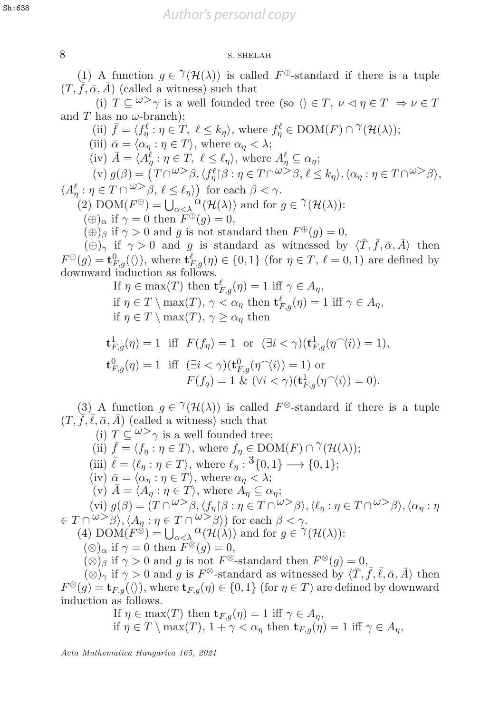## 8 S. SHELAH 8 S. SHELAH

(1) A function  $q \in \mathcal{V}(\mathcal{H}(\lambda))$  is called  $F^{\oplus}$ -standard if there is a tuple  $(T, \bar{f}, \bar{\alpha}, \bar{A})$  (called a witness) such that

(i)  $T \subset \omega > \gamma$  is a well founded tree (so  $\langle \rangle \in T$ ,  $\nu \le \eta \in T \Rightarrow \nu \in T$ and T has no  $\omega$ -branch);

(ii)  $\bar{f} = \langle f_{\eta}^{\ell} : \eta \in \hat{T}, \ell \leq k_{\eta} \rangle$ , where  $f_{\eta}^{\ell} \in \text{DOM}(F) \cap \hat{T}(\mathcal{H}(\lambda));$ <br>(iii)  $\bar{\rho} = \langle \alpha : \eta \in T \rangle$  where  $\alpha \leq \lambda$ . (iii)  $\bar{\alpha} = \langle \alpha_{\eta} : \eta \in T \rangle$ , where  $\alpha_{\eta} < \lambda$ ; (iv)  $\bar{A} = \langle A_\eta^\ell : \eta \in T, \ell \le \ell_\eta \rangle$ , where  $A_\eta^\ell \subseteq \alpha_\eta$ ;<br>(iv)  $\alpha(\beta) = (T \cap \omega > \beta, \ell \ell \land \gamma > \alpha \in T \cap \omega > \beta \ell$  $(v) g(\beta) = (T \cap^{\omega > \beta}, \langle f_{\eta}^{\ell} | \beta : \eta \in T \cap^{\omega > \beta}, \ell \leq k_{\eta} \rangle, \langle \alpha_{\eta} : \eta \in T \cap^{\omega > \beta} \rangle,$  $\langle A_n^{\ell} : \eta \in T \cap \omega > \beta, \ell \leq \ell_{\eta} \rangle$  for each  $\beta < \gamma$ .  $\begin{array}{l} \binom{\ell}{\eta} : \eta \in T \cap \omega > \beta, \ \ell \leq \ell_{\eta} \end{array}$  for each  $\beta < \gamma$ .<br>
(2) DOM( $F^{\oplus}$ )  $-11$  ( $\alpha(\mathcal{H}(\lambda))$  and for  $(2)$  DOM $(F^{\oplus}) = \bigcup_{\alpha < \lambda} {}^{\alpha}({\cal H}(\lambda))$  and for  $g \in {}^{\gamma}({\cal H}(\lambda))$ :<br>  $(\oplus)$  if  $\alpha = 0$  then  $F^{\oplus}(g) = 0$  $(\bigoplus_{\alpha} \text{ if } \gamma = 0 \text{ then } \overline{F}^{\oplus}(g) = 0,$ <br>  $(\bigoplus_{\alpha} \text{ if } \alpha > 0 \text{ and } g \text{ is not sta})$  $(\oplus)_{\beta}$  if  $\gamma > 0$  and g is not standard then  $F^{\oplus}(g) = 0$ ,  $(\oplus)_{\gamma}$  if  $\gamma > 0$  and g is standard as witnessed by  $\langle \overline{T}, \overline{f}, \overline{\alpha}, \overline{A} \rangle$  then

 $F^{\oplus}(g) = \mathbf{t}_{F,g}^{0}(\langle \rangle)$ , where  $\mathbf{t}_{F,g}^{\ell}(\eta) \in \{0,1\}$  (for  $\eta \in T$ ,  $\ell = 0,1$ ) are defined by downward induction as follows downward induction as follows.

> If  $\eta \in \max(T)$  then  $\mathbf{t}^{\ell}_{F,g}(\eta) = 1$  iff  $\gamma \in A_{\eta}$ ,<br>if  $g \in T \setminus \max(T)$ ,  $g \in G$ , then  $\mathbf{t}^{\ell}_{F,g}(\eta) = 1$ if  $\eta \in T \setminus \max(T)$ ,  $\gamma < \alpha_{\eta}$  then  $\mathbf{t}^{\ell}_{F,g}(\eta) = 1$  iff  $\gamma \in A_{\eta}$ ,<br>if  $n \in T \setminus \max(T)$ ,  $\gamma > \alpha_{\eta}$  then if  $\eta \in T \setminus \max(T)$ ,  $\gamma \geq \alpha_n$  then

$$
\mathbf{t}^{1}_{F,g}(\eta) = 1 \quad \text{iff} \quad F(f_{\eta}) = 1 \quad \text{or} \quad (\exists i < \gamma)(\mathbf{t}^{1}_{F,g}(\eta^{\frown}\langle i \rangle) = 1),
$$
\n
$$
\mathbf{t}^{0}_{F,g}(\eta) = 1 \quad \text{iff} \quad (\exists i < \gamma)(\mathbf{t}^{0}_{F,g}(\eta^{\frown}\langle i \rangle) = 1) \quad \text{or} \quad F(f_{q}) = 1 \quad \& (\forall i < \gamma)(\mathbf{t}^{1}_{F,g}(\eta^{\frown}\langle i \rangle) = 0).
$$

(3) A function  $q \in \mathcal{U}(\mathcal{H}(\lambda))$  is called  $F^{\otimes}$ -standard if there is a tuple  $(T, \overline{f}, \overline{\ell}, \overline{\alpha}, \overline{A})$  (called a witness) such that

(i)  $T \subseteq \omega > \gamma$  is a well founded tree; (ii)  $\bar{f} = \langle f_{\eta} : \eta \in T \rangle$ , where  $f_{\eta} \in \text{DOM}(F) \cap \gamma(\mathcal{H}(\lambda));$ (iii)  $\bar{\ell} = \langle \ell_{\eta} : \eta \in T \rangle$ , where  $\ell_{\eta} : {\binom{3}{0,1}} \longrightarrow {\{0,1\}};$ (iv)  $\bar{\alpha} = \langle \alpha_{\eta} : \eta \in T \rangle$ , where  $\alpha_{\eta} < \lambda$ ; (v)  $\bar{A} = \langle A_{\eta} : \eta \in T \rangle$ , where  $A_{\eta} \subseteq \alpha_{\eta}$ ; (vi)  $g(\beta) = (T \cap {}^{\omega >} \beta, \langle f_\eta | \beta : \eta \in T \cap {}^{\omega >} \beta \rangle, \langle \ell_\eta : \eta \in T \cap {}^{\omega >} \beta \rangle, \langle \alpha_\eta : \eta$  $\in T \cap \omega > \beta \rangle$ ,  $\langle A_n : \eta \in T \cap \omega > \beta \rangle$  for each  $\beta < \gamma$ .  $(4)$  DOM $(F^{\otimes}) = \bigcup_{\alpha < \lambda} {\alpha(\mathcal{H}(\lambda))}$  and for  $g \in {}^{\gamma}(\mathcal{H}(\lambda))$ :<br>  $({}^{\otimes})$  if  $\alpha = 0$  then  $F^{\otimes}(g) = 0$  $(\otimes)_{\alpha}$  if  $\gamma = 0$  then  $F^{\otimes}(g) = 0$ ,<br>
( $\otimes$ ) if  $\gamma > 0$  and a is not  $F^{\otimes}$  $(\otimes)_{\beta}$  if  $\gamma > 0$  and g is not  $F^{\otimes}$ -standard then  $F^{\otimes}(g) = 0$ ,  $(\otimes)_{\gamma}$  if  $\gamma > 0$  and g is F<sup>⊗</sup>-standard as witnessed by  $\langle \overline{T}, \overline{f}, \overline{\ell}, \overline{\alpha}, \overline{A} \rangle$  then  $F^{\otimes}(g) = \mathbf{t}_{F,g}(\langle \rangle)$ , where  $\mathbf{t}_{F,g}(\eta) \in \{0,1\}$  (for  $\eta \in T$ ) are defined by downward induction as follows.

If 
$$
\eta \in \max(T)
$$
 then  $\mathbf{t}_{F,g}(\eta) = 1$  iff  $\gamma \in A_{\eta}$ ,  
if  $\eta \in T \setminus \max(T)$ ,  $1 + \gamma < \alpha_{\eta}$  then  $\mathbf{t}_{F,g}(\eta) = 1$  iff  $\gamma \in A_{\eta}$ ,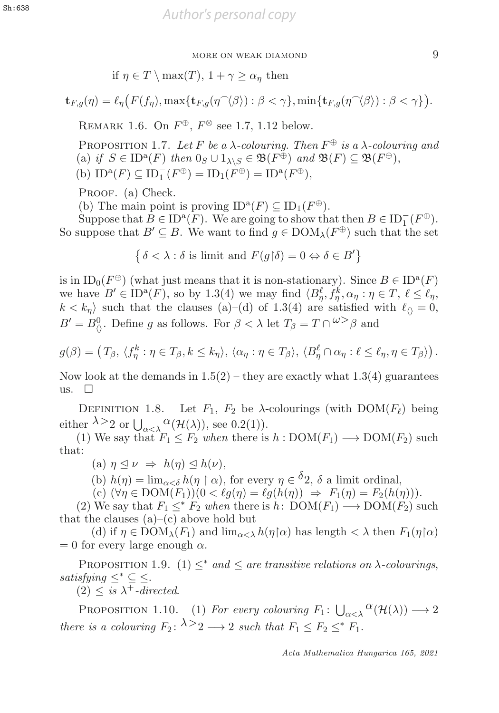if 
$$
\eta \in T \setminus \max(T)
$$
,  $1 + \gamma \ge \alpha_{\eta}$  then

$$
\mathbf{t}_{F,g}(\eta) = \ell_{\eta}\big(F(f_{\eta}), \max\{\mathbf{t}_{F,g}(\eta \widehat{\phantom{\alpha}} \langle \beta \rangle) : \beta < \gamma\}, \min\{\mathbf{t}_{F,g}(\eta \widehat{\phantom{\alpha}} \langle \beta \rangle) : \beta < \gamma\}\big).
$$

REMARK 1.6. On  $F^{\oplus}$ ,  $F^{\otimes}$  see 1.7, 1.12 below.

PROPOSITION 1.7. Let F be a  $\lambda$ -colouring. Then  $F^{\oplus}$  is a  $\lambda$ -colouring and (a) if  $S \in ID^a(F)$  then  $0_S \cup 1_{\lambda \setminus S} \in \mathfrak{B}(F^{\oplus})$  and  $\mathfrak{B}(F) \subseteq \mathfrak{B}(F^{\oplus})$ , (b)  $ID^a(F) \subseteq ID^-_1(F^{\oplus}) = ID_1(F^{\oplus}) = ID^a(F^{\oplus}),$ 

PROOF. (a) Check.

(b) The main point is proving  $ID^a(F) \subseteq ID_1(F^{\oplus})$ .

Suppose that  $B \in \text{ID}^{\text{a}}(F)$ . We are going to show that then  $B \in \text{ID}_1^-(F^{\oplus})$ .<br>suppose that  $B' \subseteq B$  We want to find  $a \in \text{DOM}_\lambda(F^{\oplus})$  such that the set So suppose that  $B' \subseteq B$ . We want to find  $g \in \text{DOM}_{\lambda}(F^{\oplus})$  such that the set

 $\{\delta < \lambda : \delta \text{ is limit and } F(g \upharpoonright \delta) = 0 \Leftrightarrow \delta \in B'\}$ 

is in  $ID_0(F^{\oplus})$  (what just means that it is non-stationary). Since  $B \in ID^a(F)$ we have  $B' \in \text{ID}^{\text{a}}(F)$ , so by 1.3(4) we may find  $\langle B^\ell_\eta, f^k_\eta, \alpha_\eta : \eta \in T, \ell \leq \ell_\eta,$ <br> $k < k$  such that the clauses (a)–(d) of 1.3(4) are satisfied with  $\ell_\eta = 0$ .  $\eta$ ,  $J\eta$  $k < k_{\eta}$  such that the clauses (a)–(d) of 1.3(4) are satisfied with  $\ell_{\langle} = 0$ ,<br> $R' = R_0 \log_{10} \log_{10} \frac{F_0}{F_0}$  and  $R_0 \approx 0.1$  at  $T = T_0 \omega > 0$  and  $B' = B_{\langle\rangle}^0$ . Define g as follows. For  $\beta < \lambda$  let  $T_{\beta} = T \cap{}^{\omega} > \beta$  and

$$
g(\beta) = \left(T_{\beta}, \langle f_{\eta}^{k} : \eta \in T_{\beta}, k \leq k_{\eta} \rangle, \langle \alpha_{\eta} : \eta \in T_{\beta} \rangle, \langle B_{\eta}^{\ell} \cap \alpha_{\eta} : \ell \leq \ell_{\eta}, \eta \in T_{\beta} \rangle \right).
$$

Now look at the demands in  $1.5(2)$  – they are exactly what  $1.3(4)$  guarantees us.  $\square$ 

DEFINITION 1.8. Let  $F_1$ ,  $F_2$  be  $\lambda$ -colourings (with  $DOM(F_{\ell})$  being either  $\lambda > 2$  or  $\bigcup_{\alpha < \lambda} \alpha(\mathcal{H}(\lambda))$ , see 0.2(1)).<br>(1) We say that  $F_1 \leq F_2$  when there is

(1) We say that  $F_1 \leq F_2$  when there is  $h : DOM(F_1) \longrightarrow DOM(F_2)$  such t. that:

(a)  $\eta \leq \nu \Rightarrow h(\eta) \leq h(\nu),$ <br>(b)  $h(\nu)$ ,  $h(\nu)$ ,  $h(\nu)$ ,  $h(\nu)$ 

(b)  $h(\eta) = \lim_{\alpha < \delta} h(\eta \restriction \alpha)$ , for every  $\eta \in {}^02$ ,  $\delta$  a limit ordinal, <br>(c)  $(\forall n \in \text{DOM}(F_1))(0 < \ell q(n) = \ell q(h(n)) \Rightarrow F_1(n) = F_2(h(n))$ 

(c)  $(\forall \eta \in \text{DOM}(F_1))(0 < \ell q(\eta) = \ell q(h(\eta)) \Rightarrow F_1(\eta) = F_2(h(\eta))).$ 

(2) We say that  $F_1 \leq^* F_2$  when there is h:  $\text{DOM}(F_1) \longrightarrow \text{DOM}(F_2)$  such that the clauses  $(a)$ – $(c)$  above hold but

(d) if  $\eta \in \text{DOM}_{\lambda}(F_1)$  and  $\lim_{\alpha \prec \lambda} h(\eta \upharpoonright \alpha)$  has length  $\langle \lambda \rangle$  then  $F_1(\eta \upharpoonright \alpha)$ <br>r every large enough  $\alpha$  $= 0$  for every large enough  $\alpha$ .

PROPOSITION 1.9. (1)  $\leq^*$  and  $\leq$  are transitive relations on  $\lambda$ -colourings, satisfying  $\leq^* \subseteq \leq$ .

 $(2) \leq is \lambda^+$ -directed.

PROPOSITION 1.10. (1) For every colouring  $F_1: \bigcup_{\alpha < \lambda} C(\mathcal{H}(\lambda)) \longrightarrow 2$ there is a colouring  $F_2: \lambda > 2 \longrightarrow 2$  such that  $F_1 \leq F_2 \leq^* F_1$ .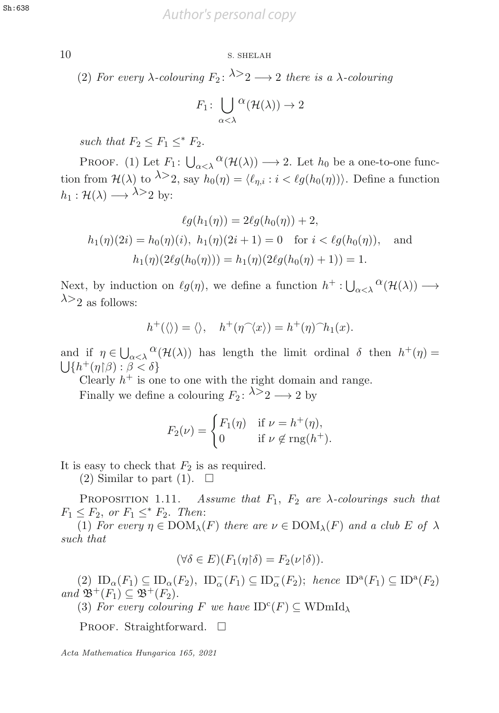*Author's personal copy* Sh:638

## 10 S. SHELAH 10 S. SHELAH

(2) For every  $\lambda$ -colouring  $F_2$ :  $\lambda > 2 \rightarrow 2$  there is a  $\lambda$ -colouring

$$
F_1: \bigcup_{\alpha < \lambda} {}^{\Omega}(\mathcal{H}(\lambda)) \to 2
$$

such that  $F_2 \leq F_1 \leq^* F_2$ .

PROOF. (1) Let  $F_1: \bigcup_{\alpha<\lambda}{}^{\alpha}(\mathcal{H}(\lambda)) \longrightarrow 2$ . Let  $h_0$  be a one-to-one function from  $\mathcal{H}(\lambda)$  to  $\lambda > 2$ , say  $h_0(\eta) = \langle \ell_{\eta,i} : i < \ell g(h_0(\eta)) \rangle$ . Define a function  $h_1 : \mathcal{H}(\lambda) \longrightarrow \lambda >_2$  by:

$$
\ell g(h_1(\eta)) = 2\ell g(h_0(\eta)) + 2,
$$
  
\n
$$
h_1(\eta)(2i) = h_0(\eta)(i), \ h_1(\eta)(2i+1) = 0 \text{ for } i < \ell g(h_0(\eta)), \text{ and}
$$
  
\n
$$
h_1(\eta)(2\ell g(h_0(\eta))) = h_1(\eta)(2\ell g(h_0(\eta) + 1)) = 1.
$$

Next, by induction on  $\ell g(\eta)$ , we define a function  $h^+ : \bigcup_{\alpha < \lambda} {}^{\alpha}(\mathcal{H}(\lambda)) \longrightarrow \lambda > 0$  $\lambda$ >2 as follows:

$$
h^+(\langle\rangle)=\langle\rangle, \quad h^+(\eta^{\widehat{\ }}\langle x\rangle)=h^+(\eta)^{\widehat{\ }}h_1(x).
$$

and if  $\eta \in \bigcup_{\alpha < \lambda} \alpha(\mathcal{H}(\lambda))$  has length the limit ordinal  $\delta$  then  $h^+(\eta) =$ <br> $\Box h^+(\eta) \beta \land \beta < \delta$  $\bigcup \{ h^+(\eta | \beta) : \beta < \delta \}$ <br>Clearly  $h^+$  is on

Clearly  $h^+$  is one to one with the right domain and range.

Finally we define a colouring  $F_2: \lambda > 2 \rightarrow 2$  by

$$
F_2(\nu) = \begin{cases} F_1(\eta) & \text{if } \nu = h^+(\eta), \\ 0 & \text{if } \nu \notin \text{rng}(h^+). \end{cases}
$$

It is easy to check that  $F_2$  is as required.

(2) Similar to part (1).  $\Box$ 

PROPOSITION 1.11. Assume that  $F_1$ ,  $F_2$  are  $\lambda$ -colourings such that  $F_1 \leq F_2$ , or  $F_1 \leq^* F_2$ . Then:

(1) For every  $\eta \in \text{DOM}_{\lambda}(F)$  there are  $\nu \in \text{DOM}_{\lambda}(F)$  and a club E of  $\lambda$ such that

$$
(\forall \delta \in E)(F_1(\eta \upharpoonright \delta) = F_2(\nu \upharpoonright \delta)).
$$

 $(2)$   $ID_{\alpha}(F_1) \subseteq ID_{\alpha}(F_2)$ ,  $ID_{\alpha}^-(F_1) \subseteq ID_{\alpha}^-(F_2)$ ; hence  $ID^a(F_1) \subseteq ID^a(F_2)$ <br>  $I \mathfrak{B}^+(F_1) \subset \mathfrak{B}^+(F_2)$ and  $\mathfrak{B}^+(F_1) \subseteq \mathfrak{B}^+(F_2)$ .

(3) For every colouring F we have  $ID^c(F) \subseteq WD^c$ 

PROOF. Straightforward.  $\square$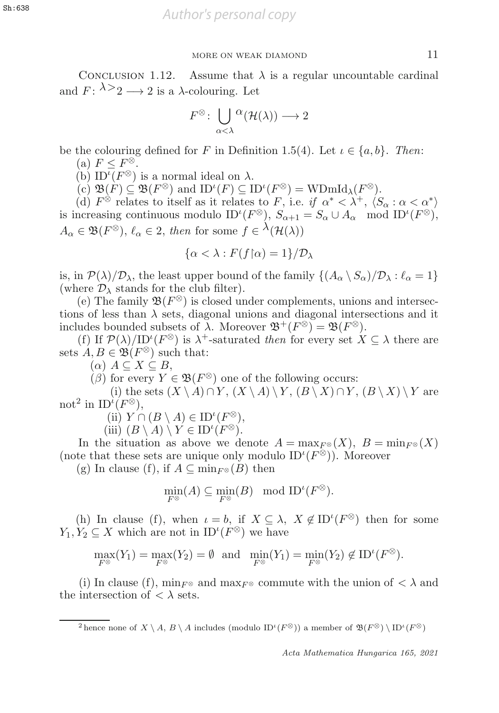CONCLUSION 1.12. Assume that  $\lambda$  is a regular uncountable cardinal and  $F: \lambda > 2 \longrightarrow 2$  is a  $\lambda$ -colouring. Let

$$
F^{\otimes} \colon \bigcup_{\alpha < \lambda} {}^{\textstyle \alpha}(\mathcal{H}(\lambda)) \longrightarrow 2
$$

be the colouring defined for F in Definition 1.5(4). Let  $\iota \in \{a, b\}$ . Then:

(a)  $F \leq F^{\otimes}$ .

(b) ID<sup>t</sup>( $F^{\otimes}$ ) is a normal ideal on  $\lambda$ .<br>(c)  $\mathfrak{B}(F) \subset \mathfrak{B}(F^{\otimes})$  and ID<sup>t</sup>( $F$ )  $\subset \Pi$ 

(c)  $\mathfrak{B}(F) \subseteq \mathfrak{B}(F^{\otimes})$  and  $ID^{\iota}(F) \subseteq ID^{\iota}(F^{\otimes}) = \text{WDmId}_{\lambda}(F^{\otimes}).$ <br>(d)  $F^{\otimes}$  relates to itself as it relates to F, i.e. if  $\alpha^* < \lambda^+$ . (S  $(F) \subseteq \mathrm{ID}^t$ <br>relates to

(d)  $F^{\otimes}$  relates to itself as it relates to F, i.e. if  $\alpha^* < \lambda^+$ ,  $\langle S_\alpha : \alpha < \alpha^* \rangle$ <br>ncreasing continuous modulo  $ID^{\iota}(F^{\otimes})$ ,  $S_{\alpha+1} = S_{\alpha} \cup A_{\alpha}$ , mod  $ID^{\iota}(F^{\otimes})$ is increasing continuous modulo  $ID^{\iota}(F^{\otimes}), S_{\alpha+1} = S_{\alpha} \cup A_{\alpha} \mod ID^{\iota}(F^{\otimes}),$ <br>  $A \subset \mathfrak{B}(\mathbb{R}^{\otimes})$ ,  $\ell \subset \mathfrak{A}$ , then for some  $f \subset \lambda(1/\lambda)$ .  $A_{\alpha} \in \mathfrak{B}(F^{\otimes}), \ell_{\alpha} \in 2$ , then for some  $f \in {}^{\lambda}(\mathcal{H}(\lambda))$ 

$$
\{\alpha < \lambda : F(f \upharpoonright \alpha) = 1\} / \mathcal{D}_{\lambda}
$$

is, in  $\mathcal{P}(\lambda)/\mathcal{D}_{\lambda}$ , the least upper bound of the family  $\{(A_{\alpha} \setminus S_{\alpha})/\mathcal{D}_{\lambda} : \ell_{\alpha} = 1\}$ (where  $\mathcal{D}_{\lambda}$  stands for the club filter).

(e) The family  $\mathfrak{B}(F^{\otimes})$  is closed under complements, unions and intersections of less than  $\lambda$  sets, diagonal unions and diagonal intersections and it includes bounded subsets of  $\lambda$ . Moreover  $\mathfrak{B}^+(F^{\otimes}) = \mathfrak{B}(F^{\otimes})$ .

(f) If  $\mathcal{P}(\lambda)/ID^{\iota}(F^{\otimes})$  is  $\lambda^{+}$ -saturated then for every set  $X \subseteq \lambda$  there are  $A \cap B \in \mathfrak{B}(F^{\otimes})$  such that: sets  $A, B \in \mathfrak{B}(F^{\otimes})$  such that:

 $(\alpha)$   $A \subseteq X \subseteq B$ ,

 $(\beta)$  for every  $Y \in \mathfrak{B}(F^{\otimes})$  one of the following occurs:

(i) the sets  $(X \setminus A) \cap Y$ ,  $(X \setminus A) \setminus Y$ ,  $(B \setminus X) \cap Y$ ,  $(B \setminus X) \setminus Y$  are not<sup>2</sup> in  $ID^{\lambda}(F^{\otimes}),$ <br>(ii)  $Y \cap$ 

(ii)  $Y \cap (B \setminus A) \in ID^{\iota}(F^{\otimes}),$ <br>
(iii)  $(B \setminus A) \setminus Y \in ID^{\iota}(F^{\otimes})$ 

(iii)  $(B \setminus A) \setminus Y \in ID^{i}(F^{\otimes}).$ <br>e situation as above we de In the situation as above we denote  $A = \max_{F \otimes}(X)$ ,  $B = \min_{F \otimes}(X)$ (note that these sets are unique only modulo  $ID^{\iota}(F^{\otimes})$ ). Moreover  $(\sigma)$  In clause  $(f)$  if  $A \subset \min_{F^{\otimes}}(B)$  then

(g) In clause (f), if  $A \subseteq \min_{F \otimes (B)}$  then

$$
\min_{F^{\otimes}}(A) \subseteq \min_{F^{\otimes}}(B) \mod ID^{\iota}(F^{\otimes}).
$$

(h) In clause (f), when  $\iota = b$ , if  $X \subseteq \lambda$ ,  $X \notin ID^{\iota}(F^{\otimes})$  then for some  $Y_2 \subset X$  which are not in  $ID^{\iota}(F^{\otimes})$  we have  $Y_1, Y_2 \subseteq X$  which are not in  $ID^{\iota}(F^{\otimes})$  we have

$$
\max_{F^{\otimes}} (Y_1) = \max_{F^{\otimes}} (Y_2) = \emptyset \text{ and } \min_{F^{\otimes}} (Y_1) = \min_{F^{\otimes}} (Y_2) \notin \mathrm{ID}^{\iota}(F^{\otimes}).
$$

(i) In clause (f),  $\min_{F^\otimes}$  and  $\max_{F^\otimes}$  commute with the union of  $\langle \lambda \rangle$  and the intersection of  $\langle \lambda \rangle$  sets.

<sup>2</sup> hence none of  $X \setminus A$ ,  $B \setminus A$  includes (modulo ID<sup>*t*</sup>( $F^{\otimes}$ )) a member of  $\mathfrak{B}(F^{\otimes}) \setminus \text{ID}^{\iota}(F^{\otimes})$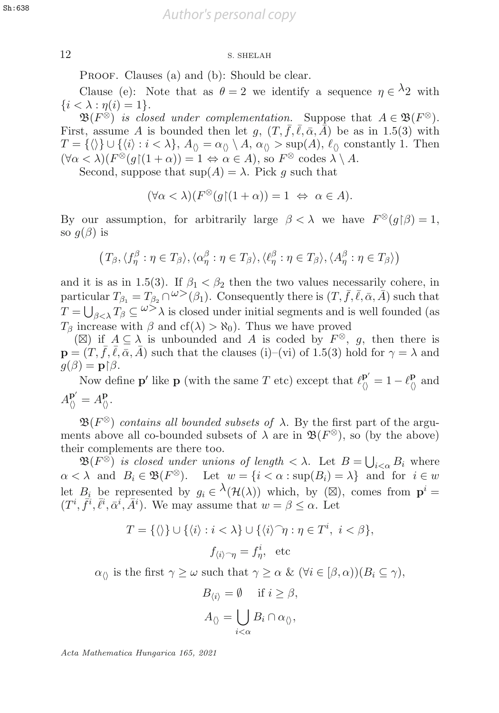## 12 S. SHELAH

PROOF. Clauses (a) and (b): Should be clear.

Clause (e): Note that as  $\theta = 2$  we identify a sequence  $\eta \in \Lambda_2$  with  $\{i < \lambda : \eta(i) = 1\}.$ 

 $\mathfrak{B}(F^{\otimes})$  is closed under complementation. Suppose that  $A \in \mathfrak{B}(F^{\otimes})$ . First, assume A is bounded then let g,  $(T, \bar{f}, \bar{\ell}, \bar{\alpha}, \bar{A})$  be as in 1.5(3) with  $T = {\langle} \langle \rangle$   $\cup$   $\{\langle i \rangle : i < \lambda\}, A_{\langle} = \alpha_{\langle} \setminus A, \alpha_{\langle} > \sup(A), \ell_{\langle} \rangle \text{ constantly 1. Then}$  $(\forall \alpha < \lambda)(F^{\otimes}(g)(1 + \alpha)) = 1 \Leftrightarrow \alpha \in A)$ , so  $F^{\otimes}$  codes  $\lambda \setminus A$ .<br>Second suppose that sup $(A) = \lambda$  Pick a such that

Second, suppose that  $\sup(A) = \lambda$ . Pick q such that

$$
(\forall \alpha < \lambda)(F^{\otimes}(g)(1+\alpha)) = 1 \Leftrightarrow \alpha \in A).
$$

By our assumption, for arbitrarily large  $\beta < \lambda$  we have  $F^{\otimes}(g|\beta) = 1$ , so  $g(\beta)$  is so  $g(\beta)$  is

$$
(T_{\beta}, \langle f_{\eta}^{\beta} : \eta \in T_{\beta} \rangle, \langle \alpha_{\eta}^{\beta} : \eta \in T_{\beta} \rangle, \langle \ell_{\eta}^{\beta} : \eta \in T_{\beta} \rangle, \langle A_{\eta}^{\beta} : \eta \in T_{\beta} \rangle)
$$

and it is as in 1.5(3). If  $\beta_1 < \beta_2$  then the two values necessarily cohere, in particular  $T_{\beta_1} = T_{\beta_2} \cap \omega^{\geq 0}(\beta_1)$ . Consequently there is  $(T, \bar{f}, \bar{\ell}, \bar{\alpha}, \bar{A})$  such that  $T = \bigcup_{\beta < \lambda} T_{\beta} \subseteq \omega^{\geq \lambda}$  is closed under initial segments and is well founded (as  $T_\beta$  increase with  $\beta$  and cf( $\lambda$ ) >  $\aleph_0$ ). Thus we have proved

( $\boxtimes$ ) if  $A \subseteq \lambda$  is unbounded and A is coded by  $F^{\otimes}$ , g, then there is  $\mathbf{p} = (T, \bar{f}, \bar{\ell}, \bar{\alpha}, \bar{A})$  such that the clauses (i)–(vi) of 1.5(3) hold for  $\gamma = \lambda$  and  $g(\beta) = \mathbf{p} \upharpoonright \beta.$ Now def

Now define **p**' like **p** (with the same T etc) except that  $\ell_{\langle\rangle}^{\mathbf{p}'} = 1 - \ell_{\langle\rangle}^{\mathbf{p}}$  and  $A_{\langle\rangle}^{\mathbf{p}'} = A_{\langle\rangle}^{\mathbf{p}}.$ 

 $\mathfrak{B}(F^{\otimes})$  contains all bounded subsets of  $\lambda$ . By the first part of the arguments above all co-bounded subsets of  $\lambda$  are in  $\mathfrak{B}(F^{\otimes})$ , so (by the above) their complements are there too.

 $\mathfrak{B}(F^{\otimes})$  is closed under unions of length  $\langle \lambda \rangle$ . Let  $B = \bigcup_{i \leq \alpha} B_i$  where  $\alpha < \lambda$  and  $B_i \in \mathfrak{B}(F^\otimes)$ . Let  $w = \{i < \alpha : \sup(B_i) = \lambda\}$  and for  $i \in w$ let  $B_i$  be represented by  $g_i \in \lambda(\mathcal{H}(\lambda))$  which, by  $(\boxtimes)$ , comes from  $p^i =$  $(T^i, \vec{f}^i, \overline{\ell}^i, \bar{\alpha}^i, \overline{A}^i)$ . We may assume that  $w = \beta \leq \alpha$ . Let

$$
T = \{ \langle \rangle \} \cup \{ \langle i \rangle : i < \lambda \} \cup \{ \langle i \rangle \hat{\ } \eta : \eta \in T^i, \ i < \beta \},
$$
\n
$$
f_{\langle i \rangle \hat{\ } \eta} = f^i_{\eta}, \ \text{etc}
$$

 $\alpha_{\Diamond}$  is the first  $\gamma \geq \omega$  such that  $\gamma \geq \alpha$  &  $(\forall i \in [\beta, \alpha))(B_i \subseteq \gamma)$ ,

$$
B_{\langle i \rangle} = \emptyset \quad \text{if } i \ge \beta,
$$
  

$$
A_{\langle\rangle} = \bigcup_{i < \alpha} B_i \cap \alpha_{\langle\rangle},
$$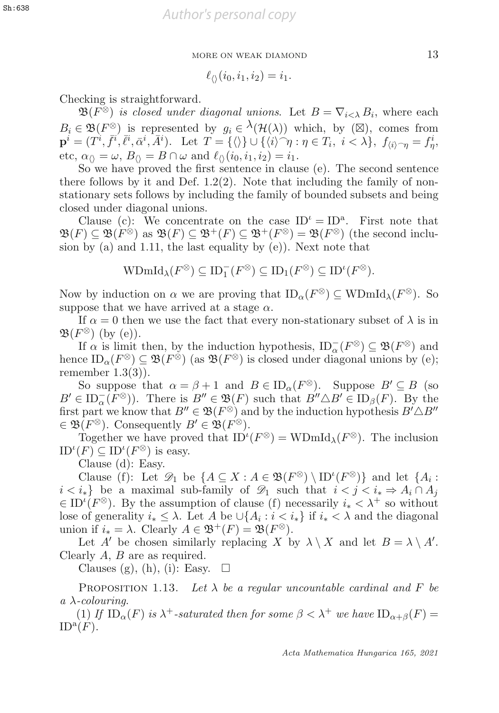$$
\ell_{\langle\rangle}(i_0,i_1,i_2)=i_1.
$$

Checking is straightforward.

 $\mathfrak{B}(F^{\otimes})$  is closed under diagonal unions. Let  $B = \nabla_{i \leq \lambda} B_i$ , where each  $B_i \in \mathfrak{B}(F^\otimes)$  is represented by  $g_i \in \lambda(\mathcal{H}(\lambda))$  which, by  $(\boxtimes)$ , comes from  $\mathbf{p}^i = (T^i, \bar{f}^i, \bar{\ell}^i, \bar{\alpha}^i, \bar{A}^i).$  Let  $T = {\langle \rangle} \cup {\langle \langle i \rangle \rangle \gamma : \eta \in T_i, i < \lambda },$   $f_{\langle i \rangle \gamma} = f^i_{\eta},$ <br>etc.  $\alpha_{\theta} = \omega, B_{\theta} = B \cap \omega$  and  $\ell_{\theta}(\{i_0, i_1, i_0\}) = i_1$ . etc,  $\alpha_{\langle\rangle} = \omega$ ,  $B_{\langle\rangle} = B \cap \omega$  and  $\ell_{\langle\rangle}(i_0, i_1, i_2) = i_1$ .

So we have proved the first sentence in clause  $(e)$ . The second sentence there follows by it and Def.  $1.2(2)$ . Note that including the family of nonstationary sets follows by including the family of bounded subsets and being closed under diagonal unions.

Clause (c): We concentrate on the case  $ID^{\iota} = ID^{a}$ . First note that  $\mathfrak{B}(F) \subset \mathfrak{B}(F^{\otimes})$  as  $\mathfrak{B}(F) \subset \mathfrak{B}^+(F) \subset \mathfrak{B}^+(F^{\otimes}) = \mathfrak{B}(F^{\otimes})$  (the second inclusion by (a) and 1.11, the last equality by (e)). Next note that

$$
\mathrm{WDmId}_{\lambda}(F^{\otimes}) \subseteq \mathrm{ID}_{1}^{-}(F^{\otimes}) \subseteq \mathrm{ID}_{1}(F^{\otimes}) \subseteq \mathrm{ID}^{\iota}(F^{\otimes}).
$$

Now by induction on  $\alpha$  we are proving that  $ID_{\alpha}(F^{\otimes}) \subseteq \text{WDmId}_{\lambda}(F^{\otimes})$ . So suppose that we have arrived at a stage  $\alpha$ .

If  $\alpha = 0$  then we use the fact that every non-stationary subset of  $\lambda$  is in  $\mathfrak{B}(F^{\otimes})$  (by (e)).

If  $\alpha$  is limit then, by the induction hypothesis,  $ID_{\alpha}^{-}(F^{\otimes}) \subseteq \mathfrak{B}(F^{\otimes})$  and<br>ce  $ID_{\alpha}(F^{\otimes}) \subset \mathfrak{B}(F^{\otimes})$  (as  $\mathfrak{B}(F^{\otimes})$ ) is closed under diagonal unions by (e) hence  $ID_{\alpha}(F^{\otimes}) \subseteq \mathfrak{B}(F^{\otimes})$  (as  $\mathfrak{B}(F^{\otimes})$  is closed under diagonal unions by (e); remember  $1.3(3)$ ).

So suppose that  $\alpha = \beta + 1$  and  $B \in ID_{\alpha}(F^{\otimes})$ . Suppose  $B' \subseteq B$  (so  $B' \in ID_{\alpha}^{-}(\overline{F^{\otimes}})$ . There is  $B'' \in \mathfrak{B}(F)$  such that  $B'' \triangle B' \in ID_{\beta}(F)$ . By the first part we know that  $B'' \in \mathfrak{B}(F^{\otimes})$  and by the induction hypothesis  $B' \triangle B''$ first part we know that  $B'' \in \mathfrak{B}(F^{\otimes})$  and by the induction hypothesis  $B' \triangle B''$ <br> $\in \mathfrak{B}(F^{\otimes})$ . Consequently  $B' \in \mathfrak{B}(F^{\otimes})$  $\in \mathfrak{B}(F^{\otimes})$ . Consequently  $B' \in \mathfrak{B}(F^{\otimes})$ .

Together we have proved that  $ID^{\iota}(F^{\otimes}) = WDmId_{\lambda}(F^{\otimes})$ . The inclusion  $(F) \subset ID^{\iota}(F^{\otimes})$  is easy  $ID^{\iota}(F) \subseteq ID^{\iota}(F^{\otimes})$  is easy.<br>Clause (d): Easy

Clause (d): Easy.

Clause (f): Let  $\mathcal{D}_1$  be  $\{A \subseteq X : A \in \mathfrak{B}(F^{\otimes}) \setminus \text{ID}^{\iota}(F^{\otimes})\}$  and let  $\{A_i : i \geq i \geq n \}$  and  $A_i$  is  $i \geq j \geq n \}$  $i < i_*$ } be a maximal sub-family of  $\mathscr{D}_1$  such that  $i < j < i_* \Rightarrow A_i \cap A_j$  $\in$  ID<sup>*i*</sup>( $F^{\otimes}$ ). By the assumption of clause (f) necessarily  $i_* < \lambda^+$  so without lose of generality  $i_* < \lambda$ . Let A be  $\cup$  A  $\cdot : i < i_{\lambda}$  if  $i_* < \lambda$  and the diagonal lose of generality  $i_* \leq \lambda$ . Let A be  $\cup \{A_i : i < i_*\}$  if  $i_* < \lambda$  and the diagonal union if  $i_* = \lambda$ . Clearly  $A \in \mathfrak{B}^+(F) = \mathfrak{B}(F^\otimes)$ .

Let A' be chosen similarly replacing X by  $\lambda \setminus X$  and let  $B = \lambda \setminus A'$ . Clearly  $A, B$  are as required.

Clauses (g), (h), (i): Easy.  $\square$ 

PROPOSITION 1.13. Let  $\lambda$  be a regular uncountable cardinal and F be  $a \lambda$ -colouring.

(1) If  $ID_{\alpha}(F)$  is  $\lambda^+$ -saturated then for some  $\beta < \lambda^+$  we have  $ID_{\alpha+\beta}(F) =$  $ID^{\mathfrak{a}}(F).$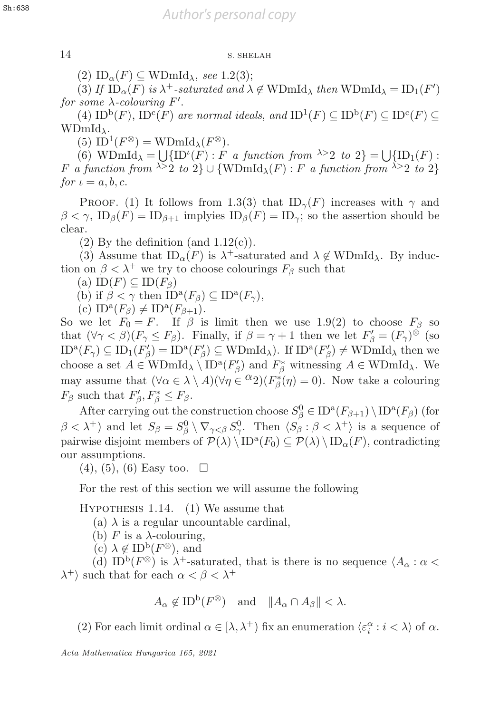## 14 S. SHELAH 14 S. SHELAH

(2)  $ID_{\alpha}(F) \subseteq \text{WDmId}_{\lambda}$ , see 1.2(3);

(3) If  $ID_{\alpha}(F)$  is  $\lambda^{+}$ -saturated and  $\lambda \notin \text{WDmId}_{\lambda}$  then  $\text{WDmId}_{\lambda} = ID_{1}(F')$ <br>some  $\lambda$ -colouring  $F'$ for some  $\lambda$ -colouring F'.<br>(4)  $ID^b(F)$   $ID^c(F)$  a

(4)  $ID^b(F)$ ,  $ID^c(F)$  are normal ideals, and  $ID^1(F) \subseteq ID^b(F) \subseteq ID^c(F) \subseteq$  $WDmId_{\lambda}$ .

(5) ID<sup>1</sup>( $F^{\otimes}$ ) = WDmId<sub> $\lambda$ </sub>( $F^{\otimes}$ ).

(6)  $\text{WDmId}_{\lambda} = \bigcup \{\text{ID}^{\iota}(F) : F \text{ a function from } \lambda > 2 \text{ to } 2\} = \bigcup \{\text{ID}_1(F) : F \text{ a function from } \lambda > 2 \text{ to } 2\}$ F a function from  $\lambda > 2$  to  $2$  U {WDmId<sub> $\lambda$ </sub>(F) : F a function from  $\lambda > 2$  to  $2$ } for  $\iota = a, b, c$ .

PROOF. (1) It follows from 1.3(3) that  $ID_{\gamma}(F)$  increases with  $\gamma$  and  $\beta < \gamma$ ,  $ID_\beta(F) = ID_{\beta+1}$  implyies  $ID_\beta(F) = ID_\gamma$ ; so the assertion should be clear.

(2) By the definition (and  $1.12(c)$ ).

(3) Assume that  $ID_{\alpha}(F)$  is  $\lambda^{+}$ -saturated and  $\lambda \notin \text{WDmId}_{\lambda}$ . By induction on  $\beta < \lambda^+$  we try to choose colourings  $F_\beta$  such that

(a)  $ID(F) \subseteq ID(F_\beta)$ 

(b) if  $\beta < \gamma$  then  $ID^{\alpha}(F_{\beta}) \subseteq ID^{\alpha}(F_{\gamma})$ ,

(c)  $ID^{\mathbf{a}}(F_{\beta}) \neq ID^{\mathbf{a}}(F_{\beta+1}).$ 

So we let  $F_0 = F$ . If  $\beta$  is limit then we use 1.9(2) to choose  $F_\beta$  so that  $(\forall \gamma < \beta)(F_{\gamma} \leq F_{\beta})$ . Finally, if  $\beta = \gamma + 1$  then we let  $F'_{\beta} = (F_{\gamma})^{\otimes}$  (so  $\Box$ <br> $\Box$ <sup>a</sup> $(F) \subset \Box$ .  $(F') = \Box$ <sup>a</sup> $(F') \subset \Box$ <br> $\Box$ a $(F') \neq \Box$ <br> $\Box$  $ID^{a}(F_{\gamma}) \subseteq ID_{1}(F_{\beta}') = ID^{a}(F_{\beta}') \subseteq WDmId_{\lambda}$ . If  $ID^{a}(F_{\beta}') \neq WDmId_{\lambda}$  then we<br>choose a set  $A \subseteq WDmId_{\lambda} \setminus ID^{a}(F')$  and  $F^{*}$  withosing  $A \subseteq WDmId_{\lambda}$ . We choose a set  $A \in \text{WDmId}_{\lambda} \setminus \text{ID}^{\alpha}(F_{\beta}')$  and  $F_{\beta}^*$  witnessing  $A \in \text{WDmId}_{\lambda}$ . We<br>may assume that  $(\forall \alpha \in \lambda) \setminus A/(\forall \alpha \in \alpha_0) (F^*(\alpha) = 0)$ . Now take a solowing may assume that  $(\forall \alpha \in \lambda \setminus A)(\forall \eta \in {}^{\alpha}2)(F_{\beta}^{*}(\eta) = 0)$ . Now take a colouring  $F_{\alpha}$  such that  $F'$ ,  $F^{*} < F_{\alpha}$  $F_{\beta}$  such that  $F'_{\beta}, F^*_{\beta} \leq F_{\beta}$ .

After carrying out the construction choose  $S^0_\beta \in \text{ID}^{\text{a}}(F_{\beta+1}) \setminus \text{ID}^{\text{a}}(F_\beta)$  (for  $\beta < \lambda^+$ ) and let  $S_\beta = S_\beta^0 \setminus \nabla_{\gamma < \beta} S_\gamma^0$ . Then  $\langle S_\beta : \beta < \lambda^+ \rangle$  is a sequence of  $\mathcal{D}(\lambda) \setminus \text{ID}^a(F_\alpha) \subset \mathcal{D}(\lambda) \setminus \text{ID}^a(F)$  contradicting pairwise disjoint members of  $\mathcal{P}(\lambda) \setminus ID^a(F_0) \subseteq \mathcal{P}(\lambda) \setminus ID_{\alpha}(F)$ , contradicting our assumptions.

 $(4), (5), (6)$  Easy too.  $\square$ 

For the rest of this section we will assume the following

Hypothesis 1.14. (1) We assume that

- (a)  $\lambda$  is a regular uncountable cardinal,
- (b) F is a  $\lambda$ -colouring,
- (c)  $\lambda \notin \mathrm{ID}^{\mathrm{b}}(F^{\otimes})$ , and

(d) ID<sup>b</sup>( $F^{\otimes}$ ) is  $\lambda^{+}$ -saturated, that is there is no sequence  $\langle A_{\alpha} : \alpha \leq$  $\lambda^+$  such that for each  $\alpha < \beta < \lambda^+$ 

$$
A_{\alpha} \notin ID^{b}(F^{\otimes})
$$
 and  $||A_{\alpha} \cap A_{\beta}|| < \lambda$ .

(2) For each limit ordinal  $\alpha \in [\lambda, \lambda^+)$  fix an enumeration  $\langle \varepsilon_i^{\alpha} : i < \lambda \rangle$  of  $\alpha$ .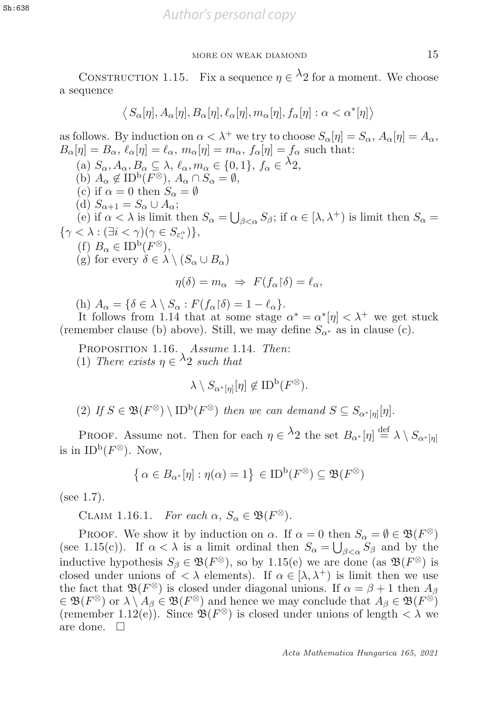CONSTRUCTION 1.15. Fix a sequence  $\eta \in \lambda_2$  for a moment. We choose a sequence

$$
\langle S_{\alpha}[\eta], A_{\alpha}[\eta], B_{\alpha}[\eta], \ell_{\alpha}[\eta], m_{\alpha}[\eta], f_{\alpha}[\eta] : \alpha < \alpha^*[\eta] \rangle
$$

as follows. By induction on  $\alpha < \lambda^+$  we try to choose  $S_\alpha[\eta] = S_\alpha$ ,  $A_\alpha[\eta] = A_\alpha$ ,  $B_{\alpha}[\eta] = B_{\alpha}, \ell_{\alpha}[\eta] = \ell_{\alpha}, m_{\alpha}[\eta] = m_{\alpha}, f_{\alpha}[\eta] = f_{\alpha}$  such that: (a)  $S_{\alpha}, A_{\alpha}, B_{\alpha} \subseteq \lambda$ ,  $\ell_{\alpha}, m_{\alpha} \in \{0, 1\}$ ,  $f_{\alpha} \in {}^{\lambda}2$ , (b)  $A_{\alpha} \notin ID^{\mathsf{b}}(F^{\otimes}), A_{\alpha} \cap S_{\alpha} = \emptyset,$ (c) if  $\alpha = 0$  then  $S_{\alpha} = \emptyset$ (d)  $S_{\alpha+1} = S_{\alpha} \cup A_{\alpha};$ (e) if  $\alpha < \lambda$  is limit then  $S_{\alpha} = \bigcup_{\beta < \alpha} S_{\beta}$ ; if  $\alpha \in [\lambda, \lambda^+]$  is limit then  $S_{\alpha} = \lambda \cdot (\exists i < \alpha)(\alpha \in S_{\alpha})$  $\{\gamma < \lambda : (\exists i < \gamma)(\gamma \in S_{\varepsilon_i^{\alpha}})\},\$ <br>(f)  $B \subset \text{ID}^{\mathsf{b}}(F^{\otimes})$ (f)  $B_{\alpha} \in ID^{\mathrm{b}}(F^{\otimes}),$ (g) for every  $\delta \in \lambda \setminus (S_\alpha \cup B_\alpha)$  $\eta(\delta) = m_{\alpha} \Rightarrow F(f_{\alpha} | \delta) = \ell_{\alpha},$ 

(h)  $A_{\alpha} = {\delta \in \lambda \setminus S_{\alpha} : F(f_{\alpha} | \delta) = 1 - \ell_{\alpha}}.$ <br>It follows from 1.14 that at some stage

It follows from 1.14 that at some stage  $\alpha^* = \alpha^*[\eta] < \lambda^+$  we get stuck<br>nember clause (b) above) Still we may define  $S_{\alpha^*}$  as in clause (c) (remember clause (b) above). Still, we may define  $S_{\alpha^*}$  as in clause (c).

PROPOSITION 1.16. Assume 1.14. Then: (1) There exists  $\eta \in \lambda_2$  such that

$$
\lambda \setminus S_{\alpha^*[\eta]}[\eta] \notin \text{ID}^{\text{b}}(F^\otimes).
$$

(2) If  $S \in \mathfrak{B}(F^{\otimes}) \setminus \text{ID}^{\text{b}}(F^{\otimes})$  then we can demand  $S \subseteq S_{\alpha^*[n]}[\eta]$ .

PROOF. Assume not. Then for each  $\eta \in \lambda_2$  the set  $B_{\alpha^*}[\eta] \stackrel{\text{def}}{=} \lambda \setminus S_{\alpha^*[\eta]}$ is in  $\text{ID}^{\text{b}}(F^{\otimes})$ . Now,

$$
\left\{ \alpha \in B_{\alpha^*}[\eta] : \eta(\alpha) = 1 \right\} \in \text{ID}^{\text{b}}(F^\otimes) \subseteq \mathfrak{B}(F^\otimes)
$$

(see 1.7).

CLAIM 1.16.1. For each  $\alpha$ ,  $S_{\alpha} \in \mathfrak{B}(F^{\otimes})$ .

PROOF. We show it by induction on  $\alpha$ . If  $\alpha = 0$  then  $S_{\alpha} = \emptyset \in \mathfrak{B}(F^{\otimes})$ (see 1.15(c)). If  $\alpha < \lambda$  is a limit ordinal then  $S_{\alpha} = \bigcup_{\beta < \alpha} S_{\beta}$  and by the inductive hypothesis  $S_{\alpha} \in \mathfrak{R}(E^{\otimes})$  so by 1.15(c) we are done (ss  $\mathfrak{R}(E^{\otimes})$  is inductive hypothesis  $S_\beta \in \mathfrak{B}(F^\otimes)$ , so by 1.15(e) we are done (as  $\mathfrak{B}(F^\otimes)$  is closed under unions of  $\langle \lambda \rangle$  elements). If  $\alpha \in [\lambda, \lambda^+]$  is limit then we use the fact that  $\mathfrak{B}(F^{\otimes})$  is closed under diagonal unions. If  $\alpha = \beta + 1$  then  $A_{\beta}$  $\in \mathfrak{B}(F^{\otimes})$  or  $\lambda \setminus A_{\beta} \in \mathfrak{B}(F^{\otimes})$  and hence we may conclude that  $A_{\beta} \in \mathfrak{B}(F^{\otimes})$ (remember 1.12(e)). Since  $\mathfrak{B}(F^{\otimes})$  is closed under unions of length  $\langle \lambda \rangle$  we are done.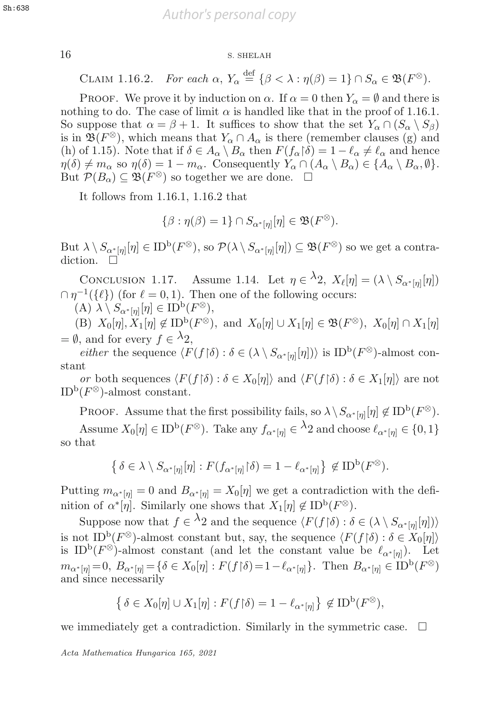## 16 S. SHELAH

CLAIM 1.16.2. For each  $\alpha$ ,  $Y_{\alpha} \stackrel{\text{def}}{=} {\{\beta < \lambda : \eta(\beta) = 1\}} \cap S_{\alpha} \in \mathfrak{B}(F^{\otimes}).$ 

PROOF. We prove it by induction on  $\alpha$ . If  $\alpha = 0$  then  $Y_{\alpha} = \emptyset$  and there is nothing to do. The case of limit  $\alpha$  is handled like that in the proof of 1.16.1. So suppose that  $\alpha = \beta + 1$ . It suffices to show that the set  $Y_\alpha \cap (S_\alpha \setminus S_\beta)$ is in  $\mathfrak{B}(F^{\otimes})$ , which means that  $Y_{\alpha} \cap A_{\alpha}$  is there (remember clauses (g) and (h) of 1.15). Note that if  $\delta \in A_{\alpha} \setminus B_{\alpha}$  then  $F(f_{\alpha} | \delta) = 1 - \ell_{\alpha} \neq \ell_{\alpha}$  and hence  $n(\delta) \neq m_{\alpha}$ , so  $n(\delta) = 1 - m_{\alpha}$ . Consequently  $Y_{\alpha} \cap (A_{\alpha} \setminus B_{\alpha}) \in \{A_{\alpha} \setminus B_{\alpha} | \beta \}$  $\eta(\delta) \neq m_\alpha$  so  $\eta(\delta)=1-m_\alpha$ . Consequently  $Y_\alpha \cap (A_\alpha \setminus B_\alpha) \in \{A_\alpha \setminus B_\alpha, \emptyset\}.$ But  $\mathcal{P}(B_{\alpha}) \subseteq \mathfrak{B}(F^{\otimes})$  so together we are done.  $\square$ 

It follows from 1.16.1, 1.16.2 that

$$
\{\beta : \eta(\beta) = 1\} \cap S_{\alpha^*[\eta]}[\eta] \in \mathfrak{B}(F^{\otimes}).
$$

But  $\lambda \setminus S_{\alpha^*[n]}[\eta] \in \mathrm{ID}^{\mathrm{b}}(F^\otimes)$ , so  $\mathcal{P}(\lambda \setminus S_{\alpha^*[n]}[\eta]) \subseteq \mathfrak{B}(F^\otimes)$  so we get a contradiction.  $\square$ 

CONCLUSION 1.17. Assume 1.14. Let  $\eta \in \lambda_2$ ,  $X_{\ell}[\eta] = (\lambda \setminus S_{\alpha^*[\eta]}[\eta])$  $\cap \eta^{-1}(\{\ell\})$  (for  $\ell = 0, 1$ ). Then one of the following occurs:

$$
(A) \lambda \setminus S_{\alpha^*[\eta]}[\eta] \in \text{ID}^{\text{b}}(F^\otimes),
$$
  
(B)  $\mathbf{Y}$  [n]  $\mathbf{Y}$  [n]  $\mathbf{Z}$   $\text{ID}^{\text{b}}(F^\otimes)$ 

(B)  $X_0[\eta], X_1[\eta] \notin \text{ID}^{\text{b}}(F^\otimes)$ , and  $X_0[\eta] \cup X_1[\eta] \in \mathfrak{B}(F^\otimes)$ ,  $X_0[\eta] \cap X_1[\eta]$  $=\emptyset$ , and for every  $f \in {}^{\lambda}2$ ,<br>either the sequence (F

*either* the sequence  $\langle F(f \mid \delta) : \delta \in (\lambda \setminus S_{\alpha^*[\eta]}[\eta]) \rangle$  is  $ID^b(F^\otimes)$ -almost constant

or both sequences  $\langle F(f \mid \delta) : \delta \in X_0[\eta] \rangle$  and  $\langle F(f \mid \delta) : \delta \in X_1[\eta] \rangle$  are not  $(F^{\otimes})$ -almost constant ID<sup>b</sup>( $F^{\otimes}$ )-almost constant.

PROOF. Assume that the first possibility fails, so  $\lambda \setminus S_{\alpha^*[\eta]}[\eta] \notin \text{ID}^{\text{b}}(F^\otimes)$ . Assume  $X_0[\eta] \in \text{ID}^{\text{b}}(F^\otimes)$ . Take any  $f_{\alpha^*[\eta]} \in {}^{\lambda}2$  and choose  $\ell_{\alpha^*[\eta]} \in \{0,1\}$ so that

$$
\left\{\delta \in \lambda \setminus S_{\alpha^*[\eta]}[\eta] : F(f_{\alpha^*[\eta]} \upharpoonright \delta) = 1 - \ell_{\alpha^*[\eta]} \right\} \notin \text{ID}^{\text{b}}(F^{\otimes}).
$$

Putting  $m_{\alpha^*[\eta]} = 0$  and  $B_{\alpha^*[\eta]} = X_0[\eta]$  we get a contradiction with the definition of  $\alpha^*[\eta]$ . Similarly one shows that  $X_1[\eta] \notin \mathrm{ID}^{\mathrm{b}}(F^\otimes)$ .

Suppose now that  $f \in {}^{\lambda}2$  and the sequence  $\langle F(f | \delta) : \delta \in (\lambda \setminus S_{\alpha^*[\eta]}[\eta]) \rangle$ <br>of  $\text{ID}^{\beta}(E^{\otimes})$  almost constant but say the sequence  $\langle F(f | \delta) : \delta \in X$  [all is not ID<sup>b</sup>( $F^{\otimes}$ )-almost constant but, say, the sequence  $\langle F(f | \delta) : \delta \in X_0[\eta] \rangle$ <br>is ID<sup>b</sup>( $F^{\otimes}$ )-almost constant (and let the constant value be  $\ell_{\geq 0}$ ). Let is ID<sup>b</sup>( $F^{\otimes}$ )-almost constant (and let the constant value be  $\ell_{\alpha^*[\eta]}$ ). Let  $m_{\alpha^*[\eta]} = 0, B_{\alpha^*[\eta]} = {\delta \in X_0[\eta] : F(f \upharpoonright \delta)} = 1 - \ell_{\alpha^*[\eta]}$ . Then  $B_{\alpha^*[\eta]} \in {\rm ID}^{\rm b}(F^\otimes)$ <br>and since necessarily and since necessarily

$$
\left\{\delta \in X_0[\eta] \cup X_1[\eta] : F(f \upharpoonright \delta) = 1 - \ell_{\alpha^*[\eta]} \right\} \notin \text{ID}^{\text{b}}(F^{\otimes}),
$$

we immediately get a contradiction. Similarly in the symmetric case.  $\Box$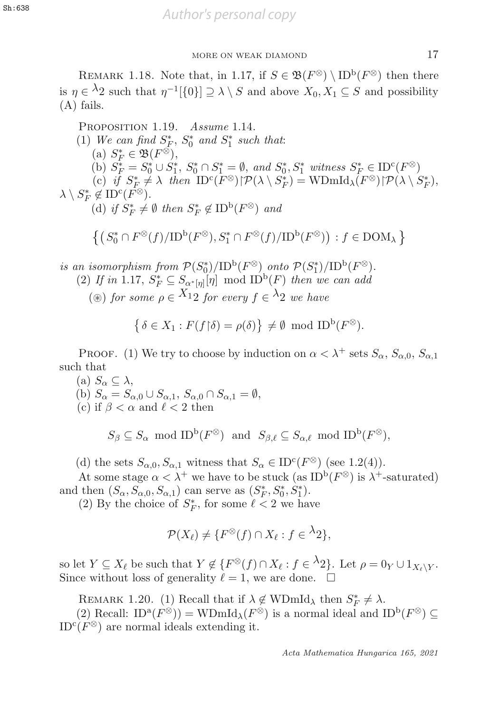REMARK 1.18. Note that, in 1.17, if  $S \in \mathfrak{B}(F^{\otimes}) \setminus \text{ID}^{\text{b}}(F^{\otimes})$  then there is  $\eta \in {}^{\lambda}2$  such that  $\eta^{-1}[\{0\}] \supseteq \lambda \setminus S$  and above  $X_0, X_1 \subseteq S$  and possibility (A) fails.

PROPOSITION 1.19. Assume 1.14. (1) We can find  $S_F^*$ ,  $S_0^*$  and  $S_1^*$  such that:<br>(a)  $S_F^* \in \mathfrak{R}(F^\otimes)$ (a)  $S_F^* \in \mathfrak{B}(F^{\otimes}),$ <br>(b)  $S_{\infty}^* = S_{\infty}^* \cup S_{\infty}^*$ (b)  $S_F^* = S_0^* \cup S_1^*, S_0^* \cap S_1^* = \emptyset$ , and  $S_0^*, S_1^*$  witness  $S_F^* \in \text{ID}^c(F^\otimes)$ <br>(c) if  $S_F^* \neq \lambda$  then  $\text{ID}^c(F^\otimes) \upharpoonright \mathcal{P}(\lambda \setminus S_n^*) = \text{WDmId}_{\lambda}(F^\otimes) \upharpoonright \mathcal{P}(\lambda \setminus S_n^*)$ (c) if  $S_F^* \neq \lambda$  then  $\text{ID}^c(F^\otimes) \upharpoonright \mathcal{P}(\lambda \setminus S_F^*) = \text{WDmId}_{\lambda}(F^\otimes) \upharpoonright \mathcal{P}(\lambda \setminus S_F^*),$ <br>  $\neq \text{ID}^c(F^\otimes)$  $\lambda \setminus S^*_F \not\in {\rm ID}^c(\overline{F^\otimes}).$ <br>(d) if  $S^* \neq$ (d) if  $S_F^* \neq \emptyset$  then  $S_F^* \notin \mathrm{ID}^{\mathrm{b}}(F^\otimes)$  and

 $\{(S_0^* \cap F^\otimes(f)/ID^b(F^\otimes), S_1^* \cap F^\otimes(f)/ID^b(F^\otimes)) : f \in \text{DOM}_\lambda\}$ 

is an isomorphism from  $\mathcal{P}(S_0^*)/ID^b(F^{\otimes})$  onto  $\mathcal{P}(S_1^*)/ID^b(F^{\otimes})$ .<br>(2) If in 1.17  $S^* \subset S$ ,  $\Box$  [n] mod  $ID^b(F)$  then we can add

(2) If in 1.17,  $S_F^* \subseteq S_{\alpha^*[\eta]}[\eta] \mod ID^b(F)$  then we can add

( $\circledast$ ) for some  $\rho \in X_{12}$  for every  $f \in \lambda_{2}$  we have

$$
\left\{\delta \in X_1 : F(f \restriction \delta) = \rho(\delta)\right\} \neq \emptyset \text{ mod ID}^{\mathrm{b}}(F^{\otimes}).
$$

PROOF. (1) We try to choose by induction on  $\alpha < \lambda^+$  sets  $S_{\alpha}$ ,  $S_{\alpha,0}$ ,  $S_{\alpha,1}$ such that

(a)  $S_{\alpha} \subseteq \lambda$ , (b)  $S_{\alpha} = S_{\alpha,0} \cup S_{\alpha,1}$ ,  $S_{\alpha,0} \cap S_{\alpha,1} = \emptyset$ , (c) if  $\beta < \alpha$  and  $\ell < 2$  then

 $S_{\beta} \subseteq S_{\alpha} \mod ID^{\mathbf{b}}(F^{\otimes})$  and  $S_{\beta,\ell} \subseteq S_{\alpha,\ell} \mod ID^{\mathbf{b}}(F^{\otimes}),$ 

(d) the sets  $S_{\alpha,0}, S_{\alpha,1}$  witness that  $S_{\alpha} \in ID^c(F^{\otimes})$  (see 1.2(4)).

At some stage  $\alpha < \lambda^+$  we have to be stuck (as ID<sup>b</sup>( $F^{\otimes}$ ) is  $\lambda^+$ -saturated) and then  $(S_{\alpha}, S_{\alpha,0}, S_{\alpha,1})$  can serve as  $(S_F^*, S_0^*, S_1^*)$ .<br>(2) By the choice of  $S_{\alpha}^*$  for some  $\ell < 2$  we happen

(2) By the choice of  $S_F^*$ , for some  $\ell < 2$  we have

$$
\mathcal{P}(X_{\ell}) \neq \{F^{\otimes}(f) \cap X_{\ell} : f \in {}^{\lambda}2\},\
$$

so let  $Y \subseteq X_\ell$  be such that  $Y \notin \{F^\otimes(f) \cap X_\ell : f \in {}^{\lambda}2\}$ . Let  $\rho = 0_Y \cup 1_{X_\ell \setminus Y}$ . Since without loss of generality  $\ell = 1$ , we are done.

REMARK 1.20. (1) Recall that if  $\lambda \notin \text{WDmId}_{\lambda}$  then  $S_F^* \neq \lambda$ .<br>(2) Recall:  $\text{ID}^{\alpha}(F^{\otimes}) = \text{WDmId}_{\lambda}(F^{\otimes})$  is a normal ideal and l

(2) Recall:  $ID^{a}(F^{\otimes})$  = WDmId<sub> $\lambda$ </sub> $(F^{\otimes})$  is a normal ideal and  $ID^{b}(F^{\otimes}) \subseteq$ ID<sup>c</sup>( $F^{\otimes}$ ) are normal ideals extending it.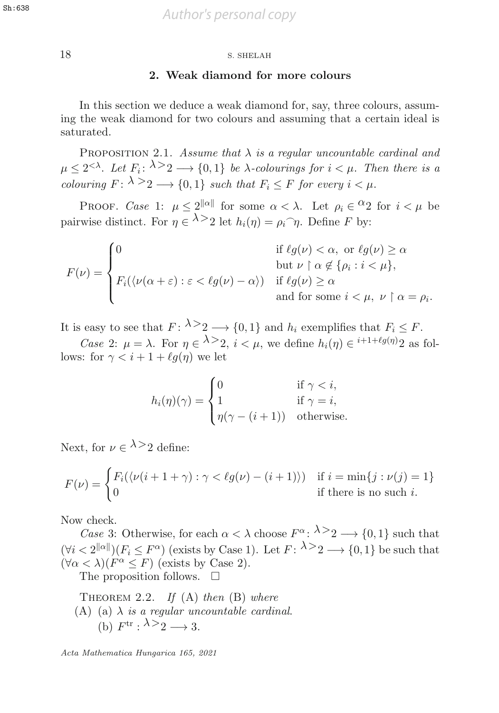**sh:638** *Author's personal copy* 

18 S. SHELAH 18 S. SHELAH

#### **2. Weak diamond for more colours**

In this section we deduce a weak diamond for, say, three colours, assuming the weak diamond for two colours and assuming that a certain ideal is saturated.

PROPOSITION 2.1. Assume that  $\lambda$  is a regular uncountable cardinal and  $\mu < 2<sup>{\lt}\lambda</sup>$ . Let  $F_i: \lambda > 2 \longrightarrow \{0,1\}$  be  $\lambda$ -colourings for  $i < \mu$ . Then there is a colouring  $F: \lambda \geq 2 \longrightarrow \{0,1\}$  such that  $F_i \leq F$  for every  $i < \mu$ .

PROOF. Case 1:  $\mu < 2^{\|\alpha\|}$  for some  $\alpha < \lambda$ . Let  $\rho_i \in {}^{\Omega}2$  for  $i < \mu$  be pairwise distinct. For  $\eta \in \lambda > 2$  let  $h_i(\eta) = \rho_i \hat{\ } \eta$ . Define F by:

$$
F(\nu) = \begin{cases} 0 & \text{if } \ell g(\nu) < \alpha, \text{ or } \ell g(\nu) \ge \alpha \\ \text{but } \nu \upharpoonright \alpha \notin \{\rho_i : i < \mu\}, \\ F_i(\langle \nu(\alpha + \varepsilon) : \varepsilon < \ell g(\nu) - \alpha \rangle) & \text{if } \ell g(\nu) \ge \alpha \\ & \text{and for some } i < \mu, \ \nu \upharpoonright \alpha = \rho_i. \end{cases}
$$

It is easy to see that  $F: \lambda > 2 \longrightarrow \{0, 1\}$  and  $h_i$  exemplifies that  $F_i \leq F$ .

Case 2:  $\mu = \lambda$ . For  $\eta \in \lambda > 2$ ,  $i < \mu$ , we define  $h_i(\eta) \in i+1+\ell g(\eta)$  as fol-<br>s: for  $\gamma < i+1+\ell g(\eta)$  we let lows: for  $\gamma < i + 1 + \ell q(\eta)$  we let

$$
h_i(\eta)(\gamma) = \begin{cases} 0 & \text{if } \gamma < i, \\ 1 & \text{if } \gamma = i, \\ \eta(\gamma - (i+1)) & \text{otherwise.} \end{cases}
$$

Next, for  $\nu \in \lambda > 2$  define:

$$
F(\nu) = \begin{cases} F_i(\langle \nu(i+1+\gamma) : \gamma < \ell g(\nu) - (i+1) \rangle) & \text{if } i = \min\{j : \nu(j) = 1\} \\ 0 & \text{if there is no such } i. \end{cases}
$$

Now check.

Case 3: Otherwise, for each  $\alpha < \lambda$  choose  $F^{\alpha}$ :  $\lambda > 2 \longrightarrow \{0, 1\}$  such that  $(\forall i < 2^{\|\alpha\|})(F_i \leq F^\alpha)$  (exists by Case 1). Let  $F: \lambda \geq 2 \longrightarrow \{0, 1\}$  be such that  $(\forall \alpha < \lambda)(F^{\alpha} \leq F)$  (exists by Case 2).

The proposition follows.  $\Box$ 

THEOREM 2.2. If  $(A)$  then  $(B)$  where (A) (a)  $\lambda$  is a regular uncountable cardinal. (b)  $F^{\text{tr}}$  :  $\lambda > 2 \rightarrow 3$ .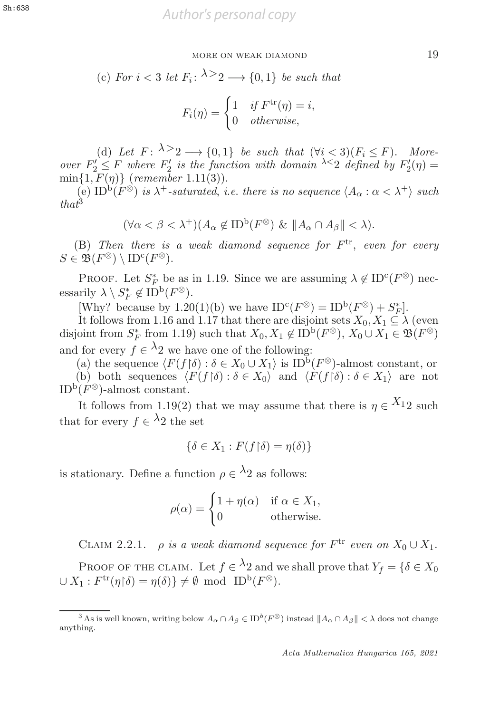(c) For 
$$
i < 3
$$
 let  $F_i: \lambda > 2 \longrightarrow \{0, 1\}$  be such that  

$$
F_i(\eta) = \begin{cases} 1 & \text{if } F^{\text{tr}}(\eta) = i, \\ 0 & \text{otherwise,} \end{cases}
$$

(d) Let  $F: \lambda > 2 \longrightarrow \{0,1\}$  be such that  $(\forall i < 3)(F_i \leq F)$ . More-<br> $\forall i \leq F$  where  $F'_i$  is the function with domain  $\lambda \leq 2$  defined by  $F'_i(n) =$ over  $F_2' \leq F$  where  $F_2'$  is the function with domain  $\lambda \leq 2$  defined by  $F_2'(\eta) =$ <br>min{1  $F(n)$ } (remember 1 11(3))  $\min\{1, F(\eta)\}$  (remember 1.11(3)).<br>(e)  $\text{ID}^{\text{b}}(F^{\otimes})$  is  $\lambda^{+}$ -saturated i

(e)  $ID^b(F^{\otimes})$  is  $\lambda^+$ -saturated, i.e. there is no sequence  $\langle A_{\alpha} : \alpha < \lambda^+ \rangle$  such  $that^3$ 

$$
(\forall \alpha < \beta < \lambda^{+})(A_{\alpha} \notin ID^{b}(F^{\otimes}) \& \|A_{\alpha} \cap A_{\beta}\| < \lambda).
$$

(B) Then there is a weak diamond sequence for  $F^{\text{tr}}$ , even for every  $\in \mathfrak{B}(F^{\otimes}) \setminus \text{ID}^c(F^{\otimes})$  $S \in \mathfrak{B}(F^\otimes) \setminus \text{ID}^{\text{c}}(F^\otimes).$ 

PROOF. Let  $S_F^*$  be as in 1.19. Since we are assuming  $\lambda \notin \text{ID}^{\text{c}}(F^{\otimes})$  nec-<br>rily  $\lambda \setminus S^* \notin \text{ID}^{\text{b}}(F^{\otimes})$ essarily  $\lambda \setminus S_F^* \notin ID^b(F^\otimes)$ .<br>Why? because by 1.20

[Why? because by 1.20(1)(b) we have  $ID<sup>c</sup>(F<sup>\otimes</sup>) = ID<sup>b</sup>(F<sup>\otimes</sup>) + S<sup>*</sup><sub>F</sub>$ ].  $\left[ \begin{smallmatrix} * \ F \end{smallmatrix} \right]$ .

It follows from 1.16 and 1.17 that there are disjoint sets  $X_0, X_1 \subseteq \lambda$  (even<br>oint from  $S^*$  from 1.19) such that  $X_0, X_1 \notin \text{ID}^{\text{b}}(F^{\otimes})$   $X_0 \cup X_1 \in \mathfrak{B}(F^{\otimes})$ disjoint from  $S_F^*$  from 1.19) such that  $X_0, X_1 \notin \text{ID}^{\text{b}}(F^\otimes), X_0 \cup X_1 \in \mathfrak{B}(F^\otimes)$ and for every  $f \in \lambda_2$  we have one of the following:

(a) the sequence  $\langle F(f | \delta) : \delta \in X_0 \cup X_1 \rangle$  is  $ID^b(F^{\otimes})$ -almost constant, or<br>(b) both sequences  $\langle F(f | \delta) \cdot \delta \in X_0 \rangle$  and  $\langle F(f | \delta) \cdot \delta \in X_1 \rangle$  are not (b) both sequences  $\langle F(f | \delta) : \delta \in X_0 \rangle$  and  $\langle F(f | \delta) : \delta \in X_1 \rangle$  are not  $P(F^{\otimes})$ -almost constant ID<sup>b</sup>( $F^{\otimes}$ )-almost constant.

It follows from 1.19(2) that we may assume that there is  $\eta \in X_{12}$  such that for every  $f \in \lambda_2$  the set

$$
\{\delta \in X_1 : F(f \restriction \delta) = \eta(\delta)\}
$$

is stationary. Define a function  $\rho \in {}^{\lambda}2$  as follows:

$$
\rho(\alpha) = \begin{cases} 1 + \eta(\alpha) & \text{if } \alpha \in X_1, \\ 0 & \text{otherwise.} \end{cases}
$$

CLAIM 2.2.1.  $\rho$  is a weak diamond sequence for  $F^{\text{tr}}$  even on  $X_0 \cup X_1$ .

PROOF OF THE CLAIM. Let  $f \in {}^{\lambda}2$  and we shall prove that  $Y_f = \{ \delta \in X_0\}$  $\cup X_1 : F^{\text{tr}}(\eta \restriction \delta) = \eta(\delta) \} \neq \emptyset \text{ mod } \text{ID}^{\text{b}}(F^{\otimes}).$ 

 $\frac{3}{3}$ As is well known, writing below  $A_{\alpha} \cap A_{\beta} \in ID^b(F^{\otimes})$  instead  $||A_{\alpha} \cap A_{\beta}|| < \lambda$  does not change anything.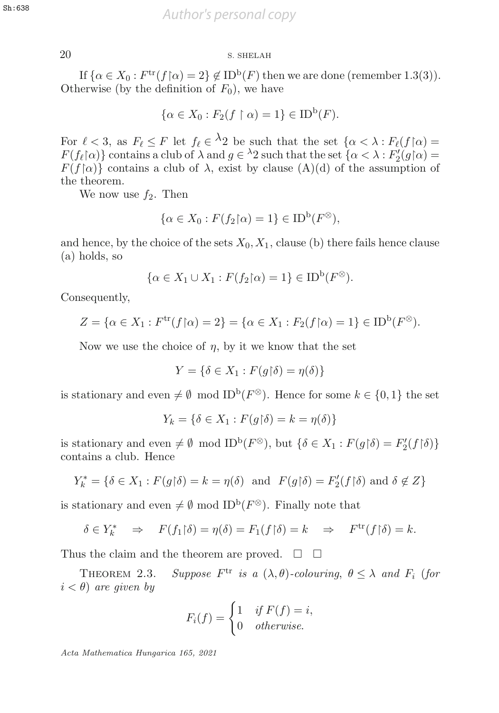## 20 S. SHELAH 20 S. SHELAH

If  $\{\alpha \in X_0 : F^{\text{tr}}(f \mid \alpha) = 2\} \notin \text{ID}^{\text{b}}(F)$  then we are done (remember 1.3(3)).<br>
erwise (by the definition of  $F_0$ ) we have Otherwise (by the definition of  $F_0$ ), we have

$$
\{\alpha \in X_0 : F_2(f \restriction \alpha) = 1\} \in \text{ID}^{\text{b}}(F).
$$

For  $\ell < 3$ , as  $F_{\ell} \leq F$  let  $f_{\ell} \in {}^{\lambda}2$  be such that the set  $\{\alpha < \lambda : F_{\ell}(f | \alpha) = F(f_{\alpha})\}$  contains a club of  $\lambda$  and  $a \in {}^{\lambda}2$  such that the set  $\{\alpha < \lambda : F'_{\alpha}(a|\alpha) =$  $F(f_{\ell}|\alpha)$  contains a club of  $\lambda$  and  $g \in {}^{\lambda}2$  such that the set  $\{\alpha < \lambda : F'_{2}(g|\alpha) =$ <br> $F(f|\alpha)$  contains a club of  $\lambda$  exist by clause (A)(d) of the assumption of  $F(f|\alpha)$  contains a club of  $\lambda$ , exist by clause (A)(d) of the assumption of the theorem the theorem.

We now use  $f_2$ . Then

$$
\{\alpha \in X_0 : F(f_2 \upharpoonright \alpha) = 1\} \in \text{ID}^{\text{b}}(F^\otimes),
$$

and hence, by the choice of the sets  $X_0, X_1$ , clause (b) there fails hence clause (a) holds, so

$$
\{\alpha \in X_1 \cup X_1 : F(f_2 \upharpoonright \alpha) = 1\} \in \text{ID}^{\text{b}}(F^{\otimes}).
$$

Consequently,

$$
Z = \{ \alpha \in X_1 : F^{\text{tr}}(f \mid \alpha) = 2 \} = \{ \alpha \in X_1 : F_2(f \mid \alpha) = 1 \} \in ID^{\text{b}}(F^{\otimes}).
$$

Now we use the choice of  $\eta$ , by it we know that the set

$$
Y = \{ \delta \in X_1 : F(g \upharpoonright \delta) = \eta(\delta) \}
$$

is stationary and even  $\neq \emptyset$  mod ID<sup>b</sup>( $F^{\otimes}$ ). Hence for some  $k \in \{0,1\}$  the set

$$
Y_k = \{ \delta \in X_1 : F(g \upharpoonright \delta) = k = \eta(\delta) \}
$$

is stationary and even  $\neq \emptyset$  mod ID<sup>b</sup>( $F^{\otimes}$ ), but  $\{\delta \in X_1 : F(g \restriction \delta) = F'_2(f \restriction \delta)\}$ <br>contains a club. Hence contains a club. Hence

$$
Y_k^* = \{ \delta \in X_1 : F(g \upharpoonright \delta) = k = \eta(\delta) \text{ and } F(g \upharpoonright \delta) = F_2'(f \upharpoonright \delta) \text{ and } \delta \notin Z \}
$$

is stationary and even  $\neq \emptyset$  mod ID<sup>b</sup>( $F^{\otimes}$ ). Finally note that

$$
\delta \in Y_k^* \quad \Rightarrow \quad F(f_1 \upharpoonright \delta) = \eta(\delta) = F_1(f \upharpoonright \delta) = k \quad \Rightarrow \quad F^{\text{tr}}(f \upharpoonright \delta) = k.
$$

Thus the claim and the theorem are proved.  $\square$   $\square$ 

THEOREM 2.3. Suppose  $F^{\text{tr}}$  is a  $(\lambda, \theta)$ -colouring,  $\theta \leq \lambda$  and  $F_i$  (for  $i < \theta$ ) are given by

$$
F_i(f) = \begin{cases} 1 & \text{if } F(f) = i, \\ 0 & \text{otherwise.} \end{cases}
$$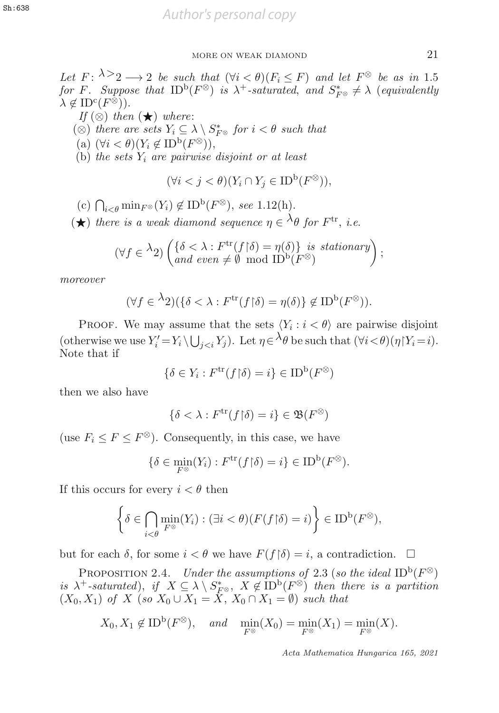Let  $F: \lambda \geq 2 \longrightarrow 2$  be such that  $(\forall i < \theta)(F_i \leq F)$  and let  $F^{\otimes}$  be as in 1.5 for F. Suppose that  $ID^b(F^{\otimes})$  is  $\lambda^+$ -saturated, and  $S_{F^{\otimes}}^* \neq \lambda$  (equivalently  $\lambda \notin ID^c(F^{\otimes})$ ).  $\lambda \notin \mathrm{ID}^{\mathrm{c}}(F^{\otimes})$ ).

If  $(\otimes)$  then  $(\star)$  where: (⊗) there are sets  $Y_i \subseteq \lambda \setminus S_{F^{\otimes}}^*$  for  $i < \theta$  such that  $(s)$  (∀ $i < \theta$ ) (∀ $i < \theta$ ) (a)  $(\forall i < \theta)(Y_i \notin ID^{\rm b}(F^{\otimes})),$ (b) the sets  $Y_i$  are pairwise disjoint or at least

$$
(\forall i < j < \theta)(Y_i \cap Y_j \in \text{ID}^{\text{b}}(F^{\otimes})),
$$

(c)  $\bigcap_{i < \theta} \min_{F^\otimes}(Y_i) \notin \text{ID}^{\text{b}}(F^\otimes)$ , see 1.12(h).

 $(\star)$  there is a weak diamond sequence  $\eta \in \Lambda_{\theta}$  for  $F^{\text{tr}}$ , i.e.

$$
(\forall f \in {}^{\lambda}2) \left( \begin{matrix} \{\delta < \lambda : F^{\text{tr}}(f \restriction \delta) = \eta(\delta) \} \text{ is stationary} \\ \text{and even} \neq \emptyset \mod ID^{\text{b}}(F^{\otimes}) \end{matrix} \right);
$$

moreover

$$
(\forall f \in {}^{\lambda}2)(\{\delta < \lambda : F^{\text{tr}}(f \restriction \delta) = \eta(\delta)\} \not\in \text{ID}^{\text{b}}(F^{\otimes})).
$$

PROOF. We may assume that the sets  $\langle Y_i : i < \theta \rangle$  are pairwise disjoint (otherwise we use  $Y_i' = Y_i \setminus \bigcup_{j < i} Y_j$ ). Let  $\eta \in {}^{\lambda} \theta$  be such that  $(\forall i < \theta)(\eta | Y_i = i)$ .<br>Note that if Note that if

$$
\{\delta \in Y_i : F^{\text{tr}}(f \restriction \delta) = i\} \in \text{ID}^{\text{b}}(F^{\otimes})
$$

then we also have

$$
\{\delta < \lambda : F^{\text{tr}}(f \restriction \delta) = i\} \in \mathfrak{B}(F^{\otimes})
$$

(use  $F_i \leq F \leq F^{\otimes}$ ). Consequently, in this case, we have

$$
\{\delta \in \min_{F^{\otimes}} (Y_i) : F^{\text{tr}}(f \restriction \delta) = i\} \in \text{ID}^{\text{b}}(F^{\otimes}).
$$

If this occurs for every  $i < \theta$  then

$$
\left\{\delta \in \bigcap_{i < \theta} \min_{F^{\otimes}} (Y_i) : (\exists i < \theta)(F(f \upharpoonright \delta) = i)\right\} \in \mathrm{ID}^{\mathrm{b}}(F^{\otimes}),
$$

but for each  $\delta$ , for some  $i < \theta$  we have  $F(f|\delta) = i$ , a contradiction.

PROPOSITION 2.4. Under the assumptions of 2.3 (so the ideal ID<sup>b</sup>( $F^{\otimes}$ ) is  $\lambda^+$ -saturated), if  $X \subseteq \lambda \setminus S^*_{F^\otimes}$ ,  $X \notin \text{ID}^{\text{b}}(F^\otimes)$  then there is a partition  $(X_0, X_1)$  of  $X$  (so  $X_0 \cup X_1 = X$ ,  $X_0 \cap X_1 = \emptyset$ ) such that  $(X_0, X_1)$  of X (so  $X_0 \cup X_1 = \dot{X}, X_0 \cap X_1 = \emptyset$ ) such that

$$
X_0, X_1 \notin \text{ID}^{\text{b}}(F^{\otimes}), \quad \text{and} \quad \min_{F^{\otimes}} (X_0) = \min_{F^{\otimes}} (X_1) = \min_{F^{\otimes}} (X).
$$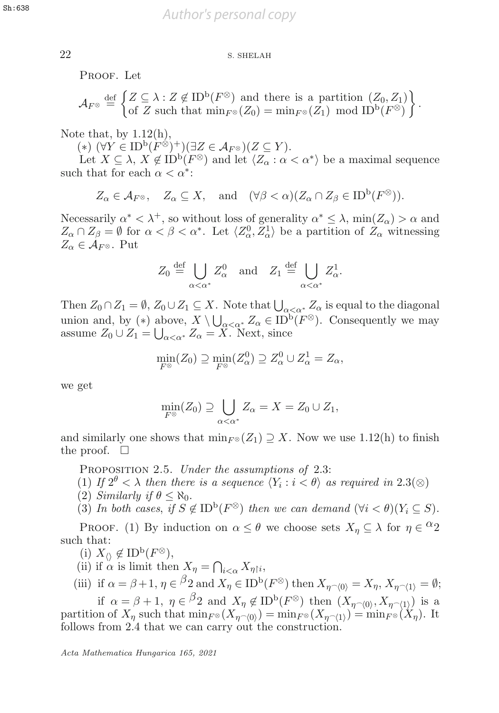22 S. SHELAH

PROOF. Let

$$
\mathcal{A}_{F^{\otimes}} \stackrel{\text{def}}{=} \left\{ Z \subseteq \lambda : Z \notin \text{ID}^{\text{b}}(F^{\otimes}) \text{ and there is a partition } (Z_0, Z_1) \\ \text{of } Z \text{ such that } \min_{F^{\otimes}} (Z_0) = \min_{F^{\otimes}} (Z_1) \mod \text{ID}^{\text{b}}(F^{\otimes}) \right\}.
$$

Note that, by  $1.12(h)$ ,

 $(*)$   $(\forall Y \in ID^{\mathrm{b}}(F^{\otimes})^+)$  $(\exists Z \in \mathcal{A}_{F^{\otimes}})(Z \subseteq Y).$ 

Let  $X \subseteq \lambda$ ,  $X \notin \text{ID}^{\text{b}}(F^{\otimes})$  and let  $\langle Z_{\alpha} : \alpha < \alpha^* \rangle$  be a maximal sequence such that for each  $\alpha < \alpha^*$ :

 $Z_{\alpha} \in \mathcal{A}_{F^{\otimes}}, \quad Z_{\alpha} \subseteq X, \text{ and } (\forall \beta < \alpha)(Z_{\alpha} \cap Z_{\beta} \in ID^{\mathrm{b}}(F^{\otimes})).$ 

Necessarily  $\alpha^* < \lambda^+$ , so without loss of generality  $\alpha^* \leq \lambda$ , min $(Z_\alpha) > \alpha$  and  $Z_{\alpha} \cap Z_{\beta} = \emptyset$  for  $\alpha < \beta < \alpha^*$ . Let  $\langle Z_{\alpha}^0, Z_{\alpha}^1 \rangle$  be a partition of  $Z_{\alpha}$  witnessing  $Z_{\alpha} \in A_{E^{\otimes}}$  Put  $Z_{\alpha} \in \mathcal{A}_{F^{\otimes}}$ . Put

$$
Z_0 \stackrel{\text{def}}{=} \bigcup_{\alpha < \alpha^*} Z_\alpha^0 \quad \text{and} \quad Z_1 \stackrel{\text{def}}{=} \bigcup_{\alpha < \alpha^*} Z_\alpha^1.
$$

Then  $Z_0 \cap Z_1 = \emptyset$ ,  $Z_0 \cup Z_1 \subseteq X$ . Note that  $\bigcup_{\alpha < \alpha^*} Z_\alpha$  is equal to the diagonal<br>union and by  $(*)$  above  $X \setminus \square$   $Z \in \text{ID}^{\text{b}}(F^\otimes)$ . Consequently we may union and, by (\*) above,  $X \setminus \bigcup_{\alpha < \alpha^*} Z_\alpha \in ID^b(F^\otimes)$ . Consequently we may assume  $Z_0 \cup Z_1 = \bigcup_{\alpha < \alpha^*} Z_\alpha = X$ . Next, since assume  $Z_0 \cup Z_1 = \bigcup_{\alpha < \alpha^*} Z_\alpha = X$ . Next, since

$$
\min_{F^{\otimes}} (Z_0) \supseteq \min_{F^{\otimes}} (Z_{\alpha}^0) \supseteq Z_{\alpha}^0 \cup Z_{\alpha}^1 = Z_{\alpha},
$$

we get

$$
\min_{F^{\otimes}} (Z_0) \supseteq \bigcup_{\alpha < \alpha^*} Z_{\alpha} = X = Z_0 \cup Z_1,
$$

and similarly one shows that  $\min_{F \otimes}(Z_1) \supseteq X$ . Now we use 1.12(h) to finish the proof.  $\square$ 

PROPOSITION 2.5. Under the assumptions of 2.3:

- (1) If  $2^{\theta} < \lambda$  then there is a sequence  $\langle Y_i : i \langle \theta \rangle$  as required in 2.3( $\otimes$ ) (2) Similarly if  $\theta \leq \aleph_0$ .
- (2) Similarly if  $\theta \leq \aleph_0$ .<br>(3) In both cases if S
- (3) In both cases, if  $S \notin \mathrm{ID}^{\mathrm{b}}(F^{\otimes})$  then we can demand  $(\forall i < \theta)(Y_i \subseteq S)$ .

PROOF. (1) By induction on  $\alpha \leq \theta$  we choose sets  $X_n \subseteq \lambda$  for  $\eta \in {}^{\Omega}2$ such that:

(i)  $X_{\langle\rangle} \notin {\rm ID}^{\rm b}(F^\otimes),$ 

(ii) if  $\alpha$  is limit then  $X_{\eta} = \bigcap_{i < \alpha} X_{\eta \upharpoonright i}$ ,<br>(iii) if  $\alpha \downharpoonright A_{\eta} = \beta \circ A_{\eta}$  $\frac{i<\alpha}{\sigma} \frac{\Lambda}{\tau}$ 

(iii) if  $\alpha = \beta + 1$ ,  $\eta \in {}^{\beta}2$  and  $X_{\eta} \in {\rm ID}^{\rm b}(F^{\otimes})$  then  $X_{\eta}{}_{\gamma(0)} = X_{\eta}, X_{\eta}{}_{\gamma(1)} = \emptyset;$ 

if  $\alpha = \beta + 1$ ,  $\eta \in {}^{\beta}2$  and  $X_{\eta} \notin ID^b(F^{\otimes})$  then  $(X_{\eta \cap \langle 0 \rangle}, X_{\eta \cap \langle 1 \rangle})$  is a partition of  $X_n$  such that  $\min_{F^\otimes}(X_{n\gamma(0)}) = \min_{F^\otimes}(X_{n\gamma(1)}) = \min_{F^\otimes}(X_n)$ . It follows from 2.4 that we can carry out the construction.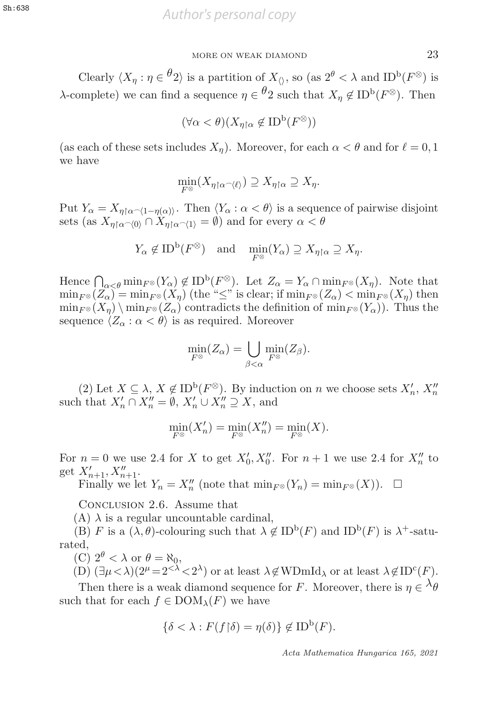Clearly  $\langle X_n : \eta \in \theta_2 \rangle$  is a partition of  $X_0$ , so (as  $2^{\theta} < \lambda$  and ID<sup>b</sup>( $F^{\otimes}$ ) is λ-complete) we can find a sequence  $η \in \frac{θ}{2}$  such that  $X_n \notin ID^b(F^{\otimes})$ . Then

$$
(\forall \alpha < \theta)(X_{\eta \upharpoonright \alpha} \not\in \text{ID}^{\text{b}}(F^{\otimes}))
$$

(as each of these sets includes  $X_n$ ). Moreover, for each  $\alpha < \theta$  and for  $\ell = 0, 1$ we have

$$
\min_{F^\otimes}(X_{\eta\upharpoonright\alpha\widehat{\phantom{\alpha}}\langle\ell\rangle})\supseteq X_{\eta\upharpoonright\alpha}\supseteq X_\eta.
$$

Put  $Y_{\alpha} = X_{\eta \upharpoonright \alpha \frown \langle 1 - \eta(\alpha) \rangle}$ . Then  $\langle Y_{\alpha} : \alpha < \theta \rangle$  is a sequence of pairwise disjoint sets (as  $X_{\alpha \upharpoonright \alpha \frown \langle 0 \rangle} \cap X_{\alpha \upharpoonright \alpha \frown \langle 1 \rangle} = \emptyset$ ) and for every  $\alpha < \theta$ sets (as  $X_{\eta\upharpoonright\alpha\sim\langle 0\rangle} \cap X_{\eta\upharpoonright\alpha\sim\langle 1\rangle} = \emptyset$ ) and for every  $\alpha < \theta$ 

$$
Y_{\alpha} \notin ID^{b}(F^{\otimes})
$$
 and  $\min_{F^{\otimes}} (Y_{\alpha}) \supseteq X_{\eta \upharpoonright \alpha} \supseteq X_{\eta}.$ 

Hence  $\bigcap_{\alpha < \theta} \min_{F^{\otimes}} (Y_{\alpha}) \notin \mathrm{ID}^{\mathrm{b}}(F^{\otimes})$ . Let  $Z_{\alpha} = Y_{\alpha} \cap \min_{F^{\otimes}} (X_{\eta})$ . Note that  $\min_{F^{\otimes}} (Z_{\alpha}) = \min_{F^{\otimes}} (X_{\alpha})$  (the " $\leq$ " is clear: if  $\min_{F^{\otimes}} (Z_{\alpha}) \leq \min_{F^{\otimes}} (X_{\alpha})$ ) then  $\min_{F \otimes} (Z_\alpha) = \min_{F \otimes} (X_n)$  (the "≤" is clear; if  $\min_{F \otimes} (Z_\alpha) < \min_{F \otimes} (X_n)$  then  $\min_{F^\otimes}(X_\eta) \setminus \min_{F^\otimes}(Z_\alpha)$  contradicts the definition of  $\min_{F^\otimes}(Y_\alpha)$ . Thus the sequence  $\langle Z_{\alpha} : \alpha < \theta \rangle$  is as required. Moreover

$$
\min_{F^{\otimes}} (Z_{\alpha}) = \bigcup_{\beta < \alpha} \min_{F^{\otimes}} (Z_{\beta}).
$$

(2) Let  $X \subseteq \lambda$ ,  $X \notin \text{ID}^{\text{b}}(F^{\otimes})$ . By induction on *n* we choose sets  $X'_n$ ,  $X''_n$  is that  $X' \cap X'' = \emptyset$   $X' \sqcup X'' \supset X$  and such that  $X'_n \cap X''_n = \emptyset$ ,  $X'_n \cup X''_n \supseteq X$ , and

$$
\min_{F^{\otimes}} (X'_n) = \min_{F^{\otimes}} (X''_n) = \min_{F^{\otimes}} (X).
$$

For  $n = 0$  we use 2.4 for X to get  $X'_0, X''_0$ . For  $n + 1$  we use 2.4 for  $X''_n$  to get  $X' = X''$ . get  $X'_{n+1}, X''_{n+1}$ .<br>Finally we le

Finally we let  $Y_n = X_n''$  (note that  $\min_{F^\otimes}(Y_n) = \min_{F^\otimes}(X)$ ).  $\Box$ 

Conclusion 2.6. Assume that

(A)  $\lambda$  is a regular uncountable cardinal,<br>(B)  $F$  is a  $(\lambda \theta)$ -colouring such that  $\lambda \theta$ 

(B) F is a  $(\lambda, \theta)$ -colouring such that  $\lambda \notin ID^b(F)$  and  $ID^b(F)$  is  $\lambda^+$ -saturated,<br>(C)  $2^{\theta} < \lambda$  or  $\theta = \aleph_0$ ,

(C)  $2^{\theta} < \lambda$  or  $\theta = \aleph_0$ ,<br>(D)  $(\exists u < \lambda)(2^{\mu} = 2^{\lt \lambda})$ 

(D)  $(\exists \mu < \lambda)(2^{\mu} = 2<sup>{<\lambda}</sup> < 2^{\lambda})$  or at least  $\lambda \notin \text{WDmId}_{\lambda}$  or at least  $\lambda \notin \text{ID}^c(F)$ .

Then there is a weak diamond sequence for F. Moreover, there is  $\eta \in \Lambda_{\theta}$ such that for each  $f \in \text{DOM}_{\lambda}(F)$  we have

$$
\{\delta < \lambda : F(f \upharpoonright \delta) = \eta(\delta)\} \not\in \text{ID}^{\text{b}}(F).
$$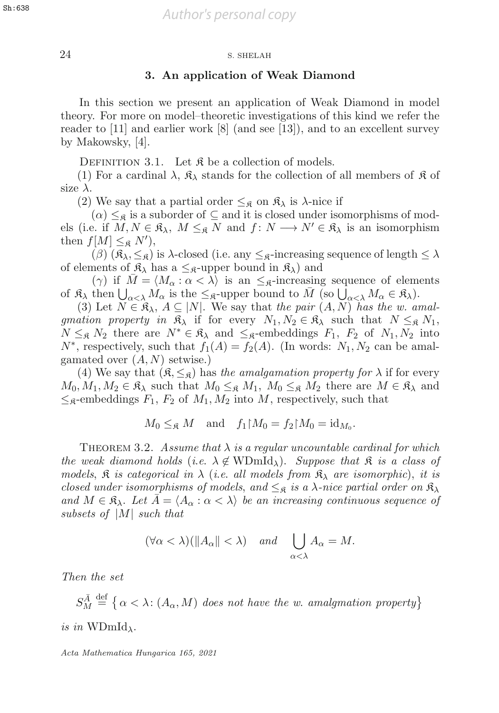## 24 S. SHELAH 24 S. SHELAH

## **3. An application of Weak Diamond**

In this section we present an application of Weak Diamond in model theory. For more on model–theoretic investigations of this kind we refer the reader to [11] and earlier work [8] (and see [13]), and to an excellent survey by Makowsky, [4].

DEFINITION 3.1. Let  $\mathfrak K$  be a collection of models.

(1) For a cardinal  $\lambda$ ,  $\mathfrak{K}_{\lambda}$  stands for the collection of all members of  $\mathfrak{K}$  of size  $\lambda$ .

(2) We say that a partial order  $\leq_{\mathfrak{K}}$  on  $\mathfrak{K}_{\lambda}$  is  $\lambda$ -nice if

 $(\alpha) \leq_{\mathfrak{K}}$  is a suborder of  $\subseteq$  and it is closed under isomorphisms of models (i.e. if  $M, N \in \mathfrak{K}_{\lambda}, M \leq_{\mathfrak{K}} N$  and  $f: N \longrightarrow N' \in \mathfrak{K}_{\lambda}$  is an isomorphism then  $f[M] \leq_{\mathfrak{K}} N'$ ,<br>(*B*)  $(\mathfrak{K}, \leq_{\mathfrak{S}})$ 

(β)  $(\mathfrak{K}_{\lambda}, \leq_{\mathfrak{K}})$  is  $\lambda$ -closed (i.e. any  $\leq_{\mathfrak{K}}$ -increasing sequence of length  $\leq \lambda$ of elements of  $\mathfrak{K}_{\lambda}$  has a  $\leq_{\mathfrak{K}}$ -upper bound in  $\mathfrak{K}_{\lambda}$  and

(γ) if  $\overline{M} = \langle M_{\alpha} : \alpha < \lambda \rangle$  is an  $\leq_{\beta}$ -increasing sequence of elements of  $\mathfrak{K}_{\lambda}$  then  $\bigcup_{\alpha<\lambda} M_{\alpha}$  is the  $\leq_{\mathfrak{K}}$ -upper bound to  $\overline{M}$  (so  $\bigcup_{\alpha<\lambda} M_{\alpha} \in \mathfrak{K}_{\lambda}$ ).<br>(3) Let  $N \in \mathfrak{K}_{\lambda}$ ,  $A \subset |N|$ . We say that the pair  $(A, N)$  has the w as

(3) Let  $N \in \mathfrak{K}_{\lambda}$ ,  $A \subseteq |N|$ . We say that the pair  $(A, N)$  has the w. amalgmation property in  $\mathfrak{K}_{\lambda}$  if for every  $N_1, N_2 \in \mathfrak{K}_{\lambda}$  such that  $N \leq_{\mathfrak{K}} N_1$ ,  $N \leq_{\mathfrak{K}} N_2$  there are  $N^* \in \mathfrak{K}_{\lambda}$  and  $\leq_{\mathfrak{K}}$ -embeddings  $F_1$ ,  $F_2$  of  $N_1, N_2$  into  $N^*$ , respectively, such that  $f_1(A) = f_2(A)$ . (In words:  $N_1, N_2$  can be amalgamated over  $(A, N)$  setwise.)

(4) We say that  $(\mathfrak{K}, \leq_{\mathfrak{K}})$  has the amalgamation property for  $\lambda$  if for every  $M_0, M_1, M_2 \in \mathfrak{K}_{\lambda}$  such that  $M_0 \leq_{\mathfrak{K}} M_1, M_0 \leq_{\mathfrak{K}} M_2$  there are  $M \in \mathfrak{K}_{\lambda}$  and  $\leq_{\mathfrak{K}}$ -embeddings  $F_1, F_2$  of  $M_1, M_2$  into M, respectively, such that

$$
M_0 \leq_{\mathfrak{K}} M
$$
 and  $f_1 \upharpoonright M_0 = f_2 \upharpoonright M_0 = \mathrm{id}_{M_0}$ .

THEOREM 3.2. Assume that  $\lambda$  is a regular uncountable cardinal for which the weak diamond holds (i.e.  $\lambda \notin \text{WDmId}_{\lambda}$ ). Suppose that  $\mathfrak{K}$  is a class of models,  $\hat{\mathcal{R}}$  is categorical in  $\lambda$  (i.e. all models from  $\hat{\mathcal{R}}_{\lambda}$  are isomorphic), it is closed under isomorphisms of models, and  $\leq_{\mathfrak{K}}$  is a  $\lambda$ -nice partial order on  $\mathfrak{K}_{\lambda}$ and  $M \in \mathfrak{K}_{\lambda}$ . Let  $A = \langle A_{\alpha} : \alpha < \lambda \rangle$  be an increasing continuous sequence of subsets of <sup>|</sup>M<sup>|</sup> such that

$$
(\forall \alpha < \lambda)(\|A_{\alpha}\| < \lambda) \quad and \quad \bigcup_{\alpha < \lambda} A_{\alpha} = M.
$$

Then the set

SA¯ def = α<λ: (Aα,M) does not have the w. amalgmation property is in  $WDmId_\lambda$ .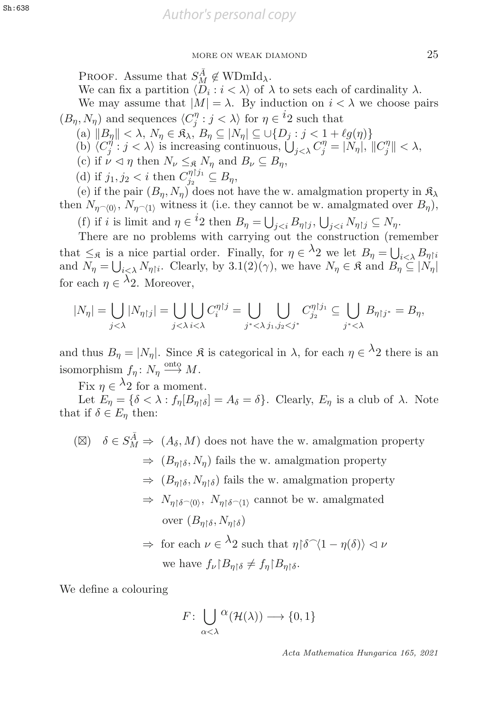PROOF. Assume that  $S_M^{\overline{A}} \notin \text{WDmId}_\lambda$ .<br>We can fix a partition  $\langle D_i : i \leq \lambda \rangle$  of  $\overline{A}$ .

We can fix a partition  $\langle \overline{D}_i : i \langle \lambda \rangle$  of  $\lambda$  to sets each of cardinality  $\lambda$ .

We may assume that  $|M| = \lambda$ . By induction on  $i < \lambda$  we choose pairs  $(B_{\eta}, N_{\eta})$  and sequences  $\langle C_j^{\eta} : j < \lambda \rangle$  for  $\eta \in {^t2}$  such that  $\langle S \rangle \parallel R \parallel \langle S \rangle$ 

- (a)  $||B_{\eta}|| < \lambda$ ,  $N_{\eta} \in \mathfrak{K}_{\lambda}$ ,  $B_{\eta} \subseteq |N_{\eta}| \subseteq \cup \{D_{j} : j < 1 + \ell g(\eta)\}\$ <br>(b)  $\langle C_{i}^{\eta} : j < \lambda \rangle$  is increasing continuous  $|C_{i}|$ ,  $C_{i}^{\eta} = |N_{\eta}|$
- (b)  $\langle C_j^{\eta} : j < \lambda \rangle$  is increasing continuous,  $\bigcup_{j < \lambda} C_j^{\eta} = |N_{\eta}|, ||C_j^{\eta}|| < \lambda$ ,<br>(c) if  $y \leq n$  then  $N \leq \varepsilon N$  and  $R \subseteq R$
- (c) if  $\nu \lhd \eta$  then  $N_{\nu} \leq_{\mathfrak{K}} N_{\eta}$  and  $B_{\nu} \subseteq B_{\eta}$ ,
- (d) if  $j_1, j_2 < i$  then  $C_{j_2}^{\eta \upharpoonright j_1} \subseteq B_\eta$ ,<br>(e) if the pair  $(B \ N)$  does not

(e) if the pair  $(B_n, N_n)$  does not have the w. amalgmation property in  $\mathfrak{K}_{\lambda}$ then  $N_{\eta\sim(0)}$ ,  $N_{\eta\sim(1)}$  witness it (i.e. they cannot be w. amalgmated over  $B_{\eta}$ ),

(f) if i is limit and  $\eta \in {}^t2$  then  $B_\eta = \bigcup_{j \leq i} B_{\eta \upharpoonright j}$ ,  $\bigcup_{j \leq i} N_{\eta \upharpoonright j} \subseteq N_\eta$ .<br>There are no problems with carrying out the construction (res

There are no problems with carrying out the construction (remember that  $\leq_{\mathfrak{K}}$  is a nice partial order. Finally, for  $\eta \in {}^{\lambda}2$  we let  $B_{\eta} = \bigcup_{\lambda}$  and  $N_{\lambda} = \square_{\lambda}$ . Clearly, by  $3.1(2)(\gamma)$ , we have  $N_{\gamma} \in \mathfrak{K}$  and  $B_{\gamma}$ that  $\leq_{\mathfrak{K}}$  is a filter partial order. Finally, for  $\eta \in \mathbb{Z}$  we let  $B_{\eta} = \bigcup_{i < \lambda} B_{\eta \upharpoonright i}$ <br>and  $N_{\eta} = \bigcup_{i < \lambda} N_{\eta \upharpoonright i}$ . Clearly, by 3.1(2)( $\gamma$ ), we have  $N_{\eta} \in \mathfrak{K}$  and  $B_{\eta} \subseteq |N_{\eta}|$  $\lambda_0^i \lambda_0$ for each  $\eta \in {}^{\lambda}2$ . Moreover,

$$
|N_{\eta}| = \bigcup_{j < \lambda} |N_{\eta\upharpoonright j}| = \bigcup_{j < \lambda} \bigcup_{i < \lambda} C_{i}^{\eta\upharpoonright j} = \bigcup_{j^{*} < \lambda} \bigcup_{j_{1}, j_{2} < j^{*}} C_{j_{2}}^{\eta\upharpoonright j_{1}} \subseteq \bigcup_{j^{*} < \lambda} B_{\eta\upharpoonright j^{*}} = B_{\eta},
$$

and thus  $B_{\eta} = |N_{\eta}|$ . Since  $\mathfrak{K}$  is categorical in  $\lambda$ , for each  $\eta \in \lambda_2$  there is an isomorphism  $f_{\eta} : N_{\eta} \xrightarrow{\text{onto }} M.$ 

Fix  $\eta \in {}^{\lambda}2$  for a moment.<br>Let  $F_{\alpha} = \{\delta \leq \lambda : f_{\alpha}[B_{\alpha}] \}$ 

Let  $E_{\eta} = {\delta < \lambda : f_{\eta}[B_{\eta \restriction \delta}]} = A_{\delta} = \delta$ . Clearly,  $E_{\eta}$  is a club of  $\lambda$ . Note that if  $\delta \in E_n$  then:

 $(\boxtimes)$   $\delta \in S_M^{\overline{A}} \Rightarrow (A_{\delta}, M)$  does not have the w. amalgmation property  $\Rightarrow$   $(B_{\eta\upharpoonright \delta}, N_{\eta})$  fails the w. amalgmation property  $\Rightarrow$   $(B_{\eta\upharpoonright \delta}, N_{\eta\upharpoonright \delta})$  fails the w. amalgmation property  $\Rightarrow N_{\eta\upharpoonright \delta \sim \langle 0 \rangle}, N_{\eta\upharpoonright \delta \sim \langle 1 \rangle}$  cannot be w. amalgmated over  $(B_{\eta\upharpoonright\delta}, N_{\eta\upharpoonright\delta})$  $\Rightarrow$  for each  $\nu \in {}^{\lambda}2$  such that  $\eta {\upharpoonright} \delta^{\frown} \langle 1 - \eta(\delta) \rangle \vartriangleleft \nu$ 

we have 
$$
f_{\nu} | B_{\eta} \uparrow \delta \neq f_{\eta} | B_{\eta} \uparrow \delta
$$
.

We define a colouring

$$
F: \bigcup_{\alpha < \lambda} \alpha(\mathcal{H}(\lambda)) \longrightarrow \{0, 1\}
$$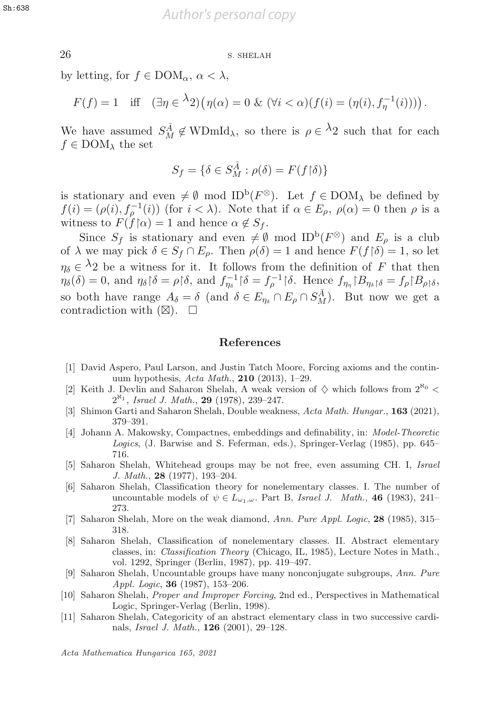26 S. SHELAH 26 S. SHELAH

by letting, for  $f \in DOM_{\alpha}$ ,  $\alpha < \lambda$ ,

$$
F(f) = 1 \quad \text{iff} \quad (\exists \eta \in {}^{\lambda}2) \big(\eta(\alpha) = 0 \& (\forall i < \alpha)(f(i) = (\eta(i), f_{\eta}^{-1}(i)))\big).
$$

We have assumed  $S_M^{\overline{A}} \notin \text{WDmId}_\lambda$ , so there is  $\rho \in {}^{\lambda}2$  such that for each  $f \in \text{DOM}_\lambda$ , the set  $f \in$  DOM<sub> $\lambda$ </sub> the set

$$
S_f = \{ \delta \in S_M^{\overline{A}} : \rho(\delta) = F(f \upharpoonright \delta) \}
$$

is stationary and even  $\neq \emptyset$  mod ID<sup>b</sup>( $F^{\otimes}$ ). Let  $f \in \text{DOM}_{\lambda}$  be defined by  $f(i) = (\rho(i), f_{\rho}^{-1}(i))$  (for  $i < \lambda$ ). Note that if  $\alpha \in E_{\rho}$ ,  $\rho(\alpha) = 0$  then  $\rho$  is a witness to  $F(f \restriction \alpha) = 1$  and hence  $\alpha \notin S$ . witness to  $F(f | \alpha) = 1$  and hence  $\alpha \notin S_f$ .<br>Since  $S_f$  is stationary and even  $\neq \emptyset$ .

Since  $S_f$  is stationary and even  $\neq \emptyset$  mod ID<sup>b</sup>( $F^{\otimes}$ ) and  $E_o$  is a club of  $\lambda$  we may pick  $\delta \in S_f \cap E_\rho$ . Then  $\rho(\delta) = 1$  and hence  $F(f|\delta) = 1$ , so let  $\eta_{\delta} \in \Lambda_2$  be a witness for it. It follows from the definition of F that then  $\eta_{\delta}(\delta) = 0$ , and  $\eta_{\delta} \upharpoonright \delta = \rho \upharpoonright \delta$ , and  $f_{\eta_{\delta}}^{-1} \upharpoonright \delta = f_{\rho}^{-1} \upharpoonright \delta$ . Hence  $f_{\eta_{\eta}} \upharpoonright B_{\eta_{\delta} \upharpoonright \delta} = f_{\rho} \upharpoonright B_{\rho \upharpoonright \delta}$ , so both have range  $A_{\delta} = \delta$  (and  $\delta \in E_{\eta_{\delta}} \cap E_{\rho} \cap S_M^{\overline{A}}$ ). But now we get a contradiction with  $(\boxtimes)$ contradiction with  $(\boxtimes)$ .  $\square$ 

#### **References**

- [1] David Aspero, Paul Larson, and Justin Tatch Moore, Forcing axioms and the continuum hypothesis, Acta Math., **210** (2013), 1–29.
- [2] Keith J. Devlin and Saharon Shelah, A weak version of  $\diamond$  which follows from  $2^{\aleph_0}$  <  $2^{\aleph_1}$ , Israel J. Math., **29** (1978), 239–247.
- [3] Shimon Garti and Saharon Shelah, Double weakness, Acta Math. Hungar., **163** (2021), 379–391.
- [4] Johann A. Makowsky, Compactnes, embeddings and definability, in: Model-Theoretic Logics, (J. Barwise and S. Feferman, eds.), Springer-Verlag (1985), pp. 645– 716.
- [5] Saharon Shelah, Whitehead groups may be not free, even assuming CH. I, Israel J. Math., **28** (1977), 193–204.
- [6] Saharon Shelah, Classification theory for nonelementary classes. I. The number of uncountable models of  $\psi \in L_{\omega_1,\omega}$ . Part B, Israel J. Math., 46 (1983), 241– 273.
- [7] Saharon Shelah, More on the weak diamond, Ann. Pure Appl. Logic, **28** (1985), 315– 318.
- [8] Saharon Shelah, Classification of nonelementary classes. II. Abstract elementary classes, in: Classification Theory (Chicago, IL, 1985), Lecture Notes in Math., vol. 1292, Springer (Berlin, 1987), pp. 419–497.
- [9] Saharon Shelah, Uncountable groups have many nonconjugate subgroups, Ann. Pure Appl. Logic, **36** (1987), 153–206.
- [10] Saharon Shelah, Proper and Improper Forcing, 2nd ed., Perspectives in Mathematical Logic, Springer-Verlag (Berlin, 1998).
- [11] Saharon Shelah, Categoricity of an abstract elementary class in two successive cardinals, Israel J. Math., **126** (2001), 29–128.